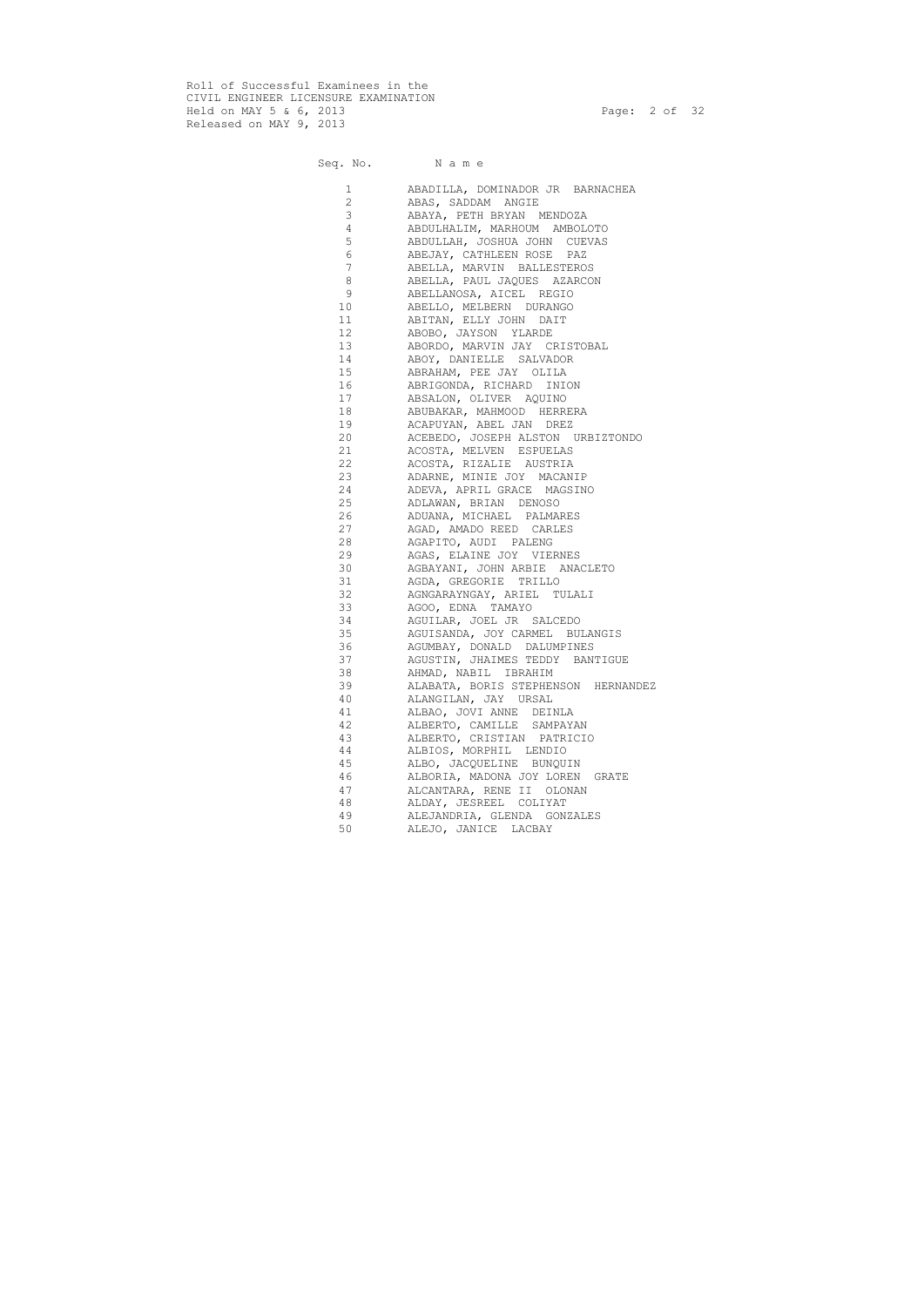Roll of Successful Examinees in the CIVIL ENGINEER LICENSURE EXAMINATION Held on MAY 5 & 6, 2013 Page: 2 of 32 Released on MAY 9, 2013

Seq. No. Name

 1 ABADILLA, DOMINADOR JR BARNACHEA 2 ABAS, SADDAM ANGIE 3 ABAYA, PETH BRYAN MENDOZA 4 ABDULHALIM, MARHOUM AMBOLOTO 5 ABDULLAH, JOSHUA JOHN CUEVAS 6 ABEJAY, CATHLEEN ROSE PAZ 7 ABELLA, MARVIN BALLESTEROS 8 ABELLA, PAUL JAQUES AZARCON 9 ABELLANOSA, AICEL REGIO 10 ABELLO, MELBERN DURANGO 11 ABITAN, ELLY JOHN DAIT 12 ABOBO, JAYSON YLARDE 13 ABORDO, MARVIN JAY CRISTOBAL 14 ABOY, DANIELLE SALVADOR 15 ABRAHAM, PEE JAY OLILA 16 ABRIGONDA, RICHARD INION 17 ABSALON, OLIVER AQUINO 18 ABUBAKAR, MAHMOOD HERRERA 19 ACAPUYAN, ABEL JAN DREZ 20 ACEBEDO, JOSEPH ALSTON URBIZTONDO 21 ACOSTA, MELVEN ESPUELAS 22 ACOSTA, RIZALIE AUSTRIA 23 ADARNE, MINIE JOY MACANIP 24 ADEVA, APRIL GRACE MAGSINO 25 ADLAWAN, BRIAN DENOSO 26 ADUANA, MICHAEL PALMARES 27 AGAD, AMADO REED CARLES 28 AGAPITO, AUDI PALENG 29 AGAS, ELAINE JOY VIERNES 30 AGBAYANI, JOHN ARBIE ANACLETO 31 AGDA, GREGORIE TRILLO 32 AGNGARAYNGAY, ARIEL TULALI 33 AGOO, EDNA TAMAYO 34 AGUILAR, JOEL JR SALCEDO 35 AGUISANDA, JOY CARMEL BULANGIS 36 AGUMBAY, DONALD DALUMPINES 37 AGUSTIN, JHAIMES TEDDY BANTIGUE 38 AHMAD, NABIL IBRAHIM 39 ALABATA, BORIS STEPHENSON HERNANDEZ 40 ALANGILAN, JAY URSAL 41 ALBAO, JOVI ANNE DEINLA 42 ALBERTO, CAMILLE SAMPAYAN 43 ALBERTO, CRISTIAN PATRICIO 44 ALBIOS, MORPHIL LENDIO 45 ALBO, JACQUELINE BUNQUIN 46 ALBORIA, MADONA JOY LOREN GRATE 47 ALCANTARA, RENE II OLONAN 48 ALDAY, JESREEL COLIYAT 49 ALEJANDRIA, GLENDA GONZALES 50 ALEJO, JANICE LACBAY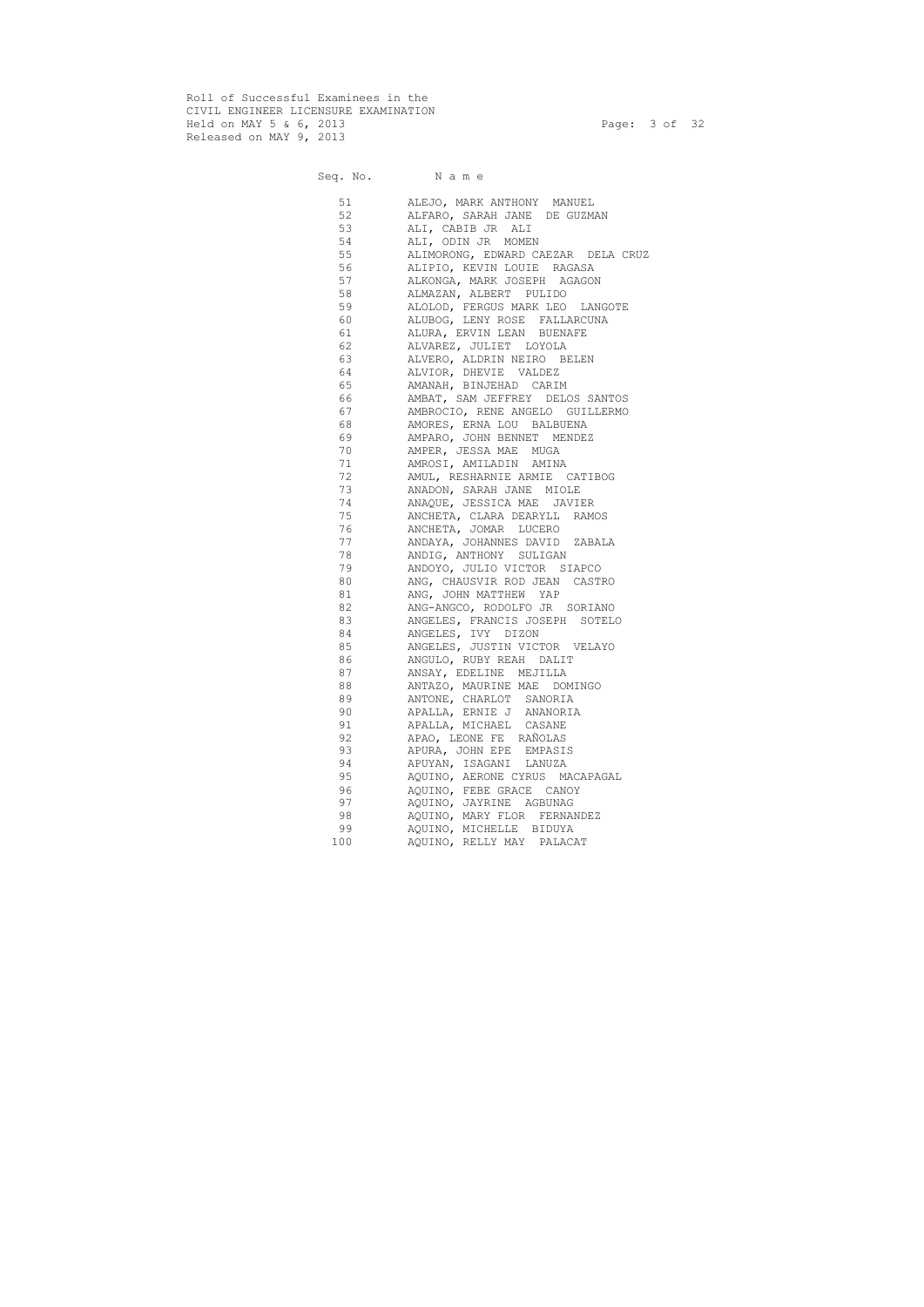Roll of Successful Examinees in the CIVIL ENGINEER LICENSURE EXAMINATION Held on MAY 5 & 6, 2013 Page: 3 of 32 Released on MAY 9, 2013

## Seq. No. Name 51 ALEJO, MARK ANTHONY MANUEL 52 ALFARO, SARAH JANE DE GUZMAN 53 ALI, CABIB JR ALI<br>54 ALI, ODIN JR MOMEN ALI, ODIN JR MOMEN 55 ALIMORONG, EDWARD CAEZAR DELA CRUZ 56 ALIPIO, KEVIN LOUIE RAGASA 57 ALKONGA, MARK JOSEPH AGAGON 58 ALMAZAN, ALBERT PULIDO<br>59 ALOLOD, FERGUS MARK LEO ALOLOD, FERGUS MARK LEO LANGOTE 60 ALUBOG, LENY ROSE FALLARCUNA 61 ALURA, ERVIN LEAN BUENAFE 62 ALVAREZ, JULIET LOYOLA 63 ALVERO, ALDRIN NEIRO BELEN 64 ALVIOR, DHEVIE VALDEZ 65 AMANAH, BINJEHAD CARIM 66 AMBAT, SAM JEFFREY DELOS SANTOS 67 AMBROCIO, RENE ANGELO GUILLERMO 68 AMORES, ERNA LOU BALBUENA 69 AMPARO, JOHN BENNET MENDEZ 70 AMPER, JESSA MAE MUGA 71 AMROSI, AMILADIN AMINA 72 AMUL, RESHARNIE ARMIE CATIBOG 73 ANADON, SARAH JANE MIOLE 74 ANAQUE, JESSICA MAE JAVIER 75 ANCHETA, CLARA DEARYLL RAMOS 76 ANCHETA, JOMAR LUCERO 77 ANDAYA, JOHANNES DAVID ZABALA 78 ANDIG, ANTHONY SULIGAN 79 ANDOYO, JULIO VICTOR SIAPCO 80 ANG, CHAUSVIR ROD JEAN CASTRO 81 ANG, JOHN MATTHEW YAP 82 ANG-ANGCO, RODOLFO JR SORIANO 83 ANGELES, FRANCIS JOSEPH SOTELO 84 ANGELES, IVY DIZON 85 ANGELES, JUSTIN VICTOR VELAYO 86 ANGULO, RUBY REAH DALIT 87 ANSAY, EDELINE MEJILLA 88 ANTAZO, MAURINE MAE DOMINGO 89 ANTONE, CHARLOT SANORIA 90 APALLA, ERNIE J ANANORIA 91 APALLA, MICHAEL CASANE 92 APAO, LEONE FE RAÑOLAS 93 APURA, JOHN EPE EMPASIS 94 APUYAN, ISAGANI LANUZA 95 AQUINO, AERONE CYRUS MACAPAGAL 96 AQUINO, FEBE GRACE CANOY 97 AQUINO, JAYRINE AGBUNAG 98 AQUINO, MARY FLOR FERNANDEZ 99 AQUINO, MICHELLE BIDUYA 100 AQUINO, RELLY MAY PALACAT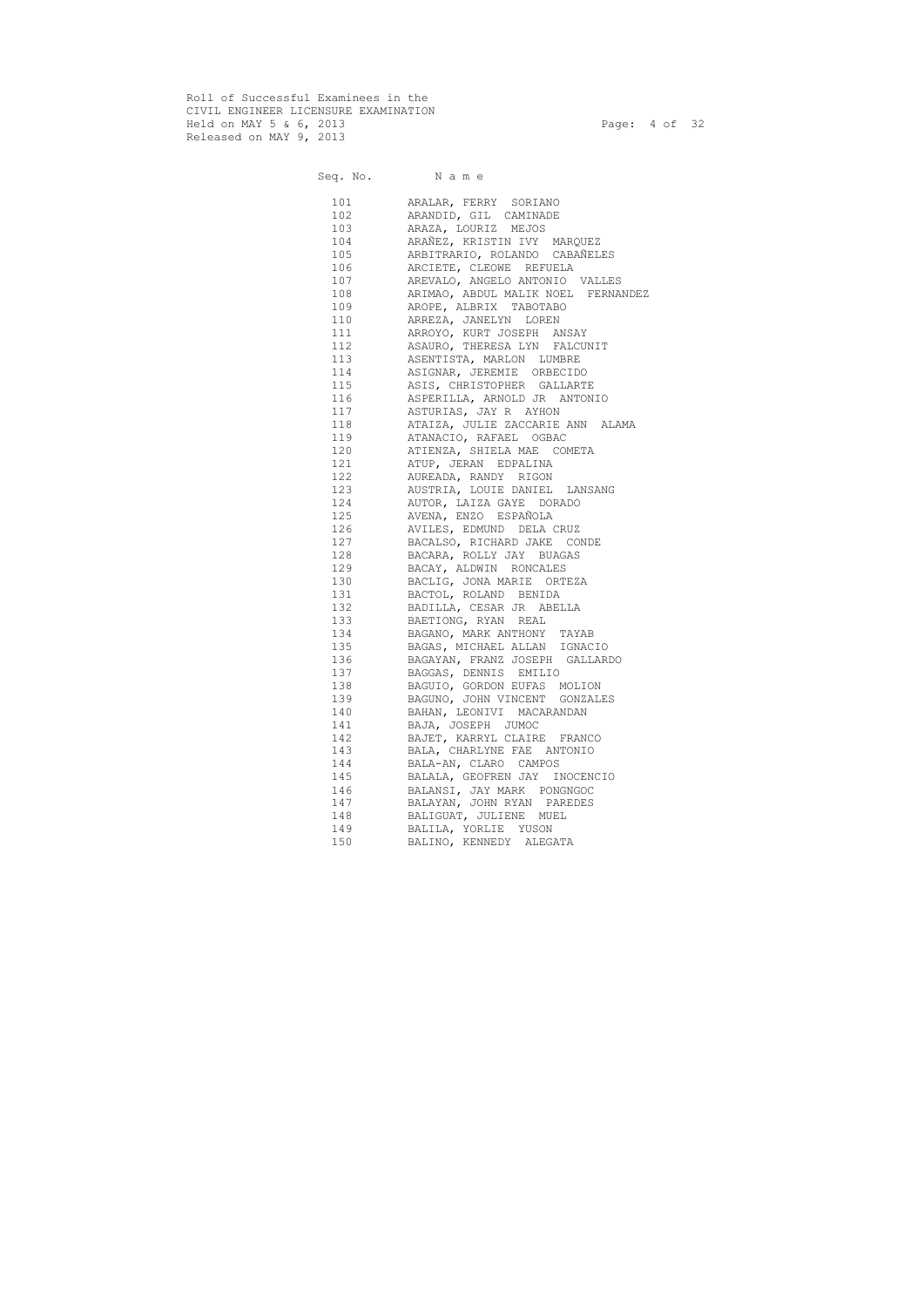Roll of Successful Examinees in the CIVIL ENGINEER LICENSURE EXAMINATION Held on MAY 5 & 6, 2013 Page: 4 of 32 Released on MAY 9, 2013

## Seq. No. Name 101 ARALAR, FERRY SORIANO 102 ARANDID, GIL CAMINADE 103 ARAZA, LOURIZ MEJOS 104 ARAÑEZ, KRISTIN IVY MARQUEZ 105 ARBITRARIO, ROLANDO CABAÑELES 106 ARCIETE, CLEOWE REFUELA 107 AREVALO, ANGELO ANTONIO VALLES 108 ARIMAO, ABDUL MALIK NOEL FERNANDEZ 109 AROPE, ALBRIX TABOTABO 110 ARREZA, JANELYN LOREN 111 ARROYO, KURT JOSEPH ANSAY 112 ASAURO, THERESA LYN FALCUNIT 113 ASENTISTA, MARLON LUMBRE 114 ASIGNAR, JEREMIE ORBECIDO 115 ASIS, CHRISTOPHER GALLARTE 116 ASPERILLA, ARNOLD JR ANTONIO 117 ASTURIAS, JAY R AYHON 118 ATAIZA, JULIE ZACCARIE ANN ALAMA 119 ATANACIO, RAFAEL OGBAC 120 ATIENZA, SHIELA MAE COMETA 121 ATUP, JERAN EDPALINA 122 AUREADA, RANDY RIGON 123 AUSTRIA, LOUIE DANIEL LANSANG 124 AUTOR, LAIZA GAYE DORADO 125 AVENA, ENZO ESPAÑOLA 126 AVILES, EDMUND DELA CRUZ 127 BACALSO, RICHARD JAKE CONDE 128 BACARA, ROLLY JAY BUAGAS 129 BACAY, ALDWIN RONCALES 130 BACLIG, JONA MARIE ORTEZA 131 BACTOL, ROLAND BENIDA 132 BADILLA, CESAR JR ABELLA 133 BAETIONG, RYAN REAL 134 BAGANO, MARK ANTHONY TAYAB 135 BAGAS, MICHAEL ALLAN IGNACIO 136 BAGAYAN, FRANZ JOSEPH GALLARDO 137 BAGGAS, DENNIS EMILIO 138 BAGUIO, GORDON EUFAS MOLION 139 BAGUNO, JOHN VINCENT GONZALES 140 BAHAN, LEONIVI MACARANDAN 141 BAJA, JOSEPH JUMOC 142 BAJET, KARRYL CLAIRE FRANCO 143 BALA, CHARLYNE FAE ANTONIO 144 BALA-AN, CLARO CAMPOS 145 BALALA, GEOFREN JAY INOCENCIO 146 BALANSI, JAY MARK PONGNGOC 147 BALAYAN, JOHN RYAN PAREDES 148 BALIGUAT, JULIENE MUEL 149 BALILA, YORLIE YUSON 150 BALINO, KENNEDY ALEGATA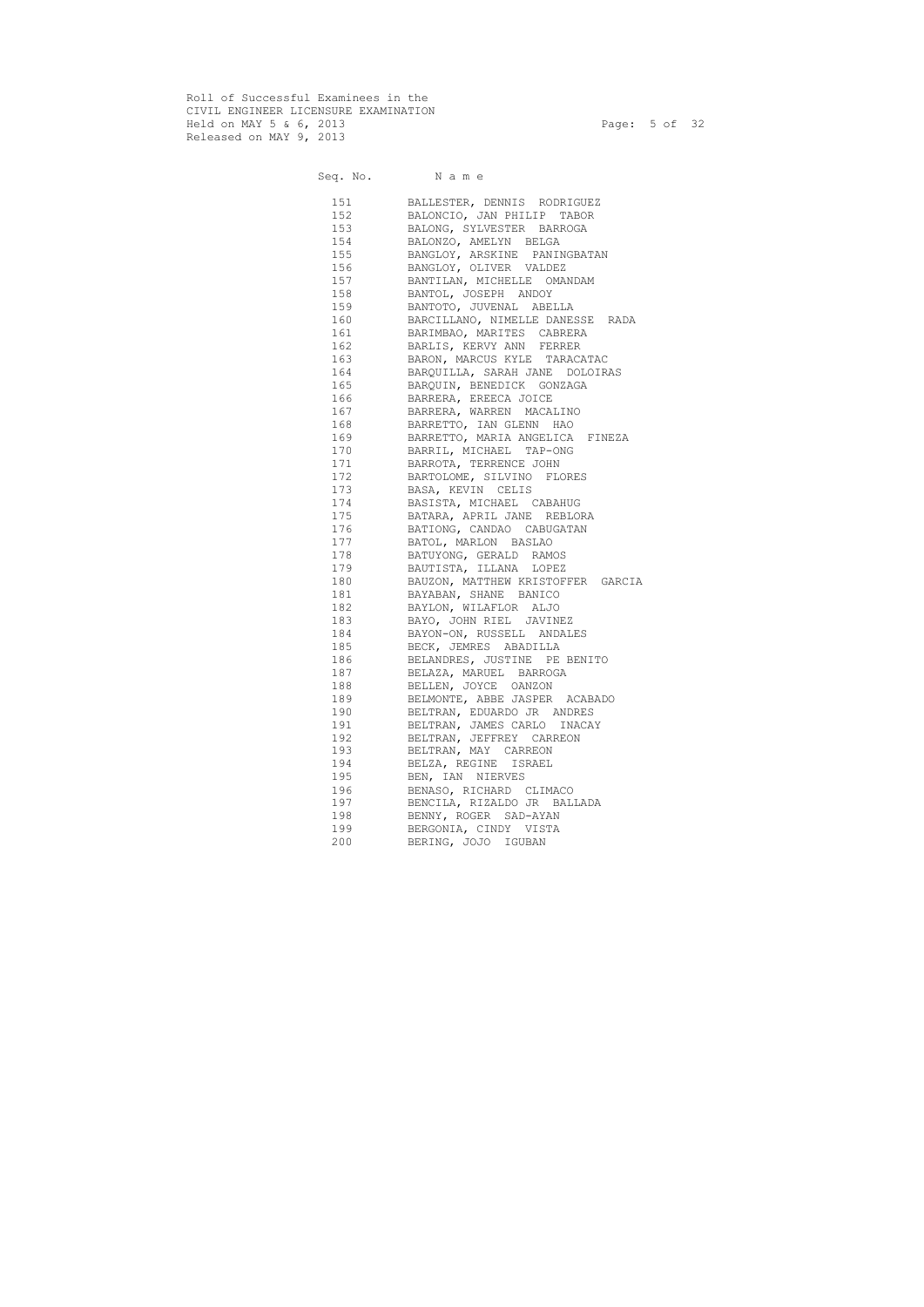Roll of Successful Examinees in the CIVIL ENGINEER LICENSURE EXAMINATION Held on MAY 5 & 6, 2013 Page: 5 of 32 Released on MAY 9, 2013

Seq. No. Name

 151 BALLESTER, DENNIS RODRIGUEZ 152 BALONCIO, JAN PHILIP TABOR 153 BALONG, SYLVESTER BARROGA 154 BALONZO, AMELYN BELGA 155 BANGLOY, ARSKINE PANINGBATAN 156 BANGLOY, OLIVER VALDEZ 157 BANTILAN, MICHELLE OMANDAM 158 BANTOL, JOSEPH ANDOY 159 BANTOTO, JUVENAL ABELLA 160 BARCILLANO, NIMELLE DANESSE RADA 161 BARIMBAO, MARITES CABRERA 162 BARLIS, KERVY ANN FERRER 163 BARON, MARCUS KYLE TARACATAC 164 BARQUILLA, SARAH JANE DOLOIRAS 165 BARQUIN, BENEDICK GONZAGA 166 BARRERA, EREECA JOICE 167 BARRERA, WARREN MACALINO 168 BARRETTO, IAN GLENN HAO 169 BARRETTO, MARIA ANGELICA FINEZA 170 BARRIL, MICHAEL TAP-ONG 171 BARROTA, TERRENCE JOHN 172 BARTOLOME, SILVINO FLORES 173 BASA, KEVIN CELIS 174 BASISTA, MICHAEL CABAHUG 175 BATARA, APRIL JANE REBLORA 176 BATIONG, CANDAO CABUGATAN 177 BATOL, MARLON BASLAO 178 BATUYONG, GERALD RAMOS 179 BAUTISTA, ILLANA LOPEZ 180 BAUZON, MATTHEW KRISTOFFER GARCIA 181 BAYABAN, SHANE BANICO 182 BAYLON, WILAFLOR ALJO 183 BAYO, JOHN RIEL JAVINEZ 184 BAYON-ON, RUSSELL ANDALES 185 BECK, JEMRES ABADILLA 186 BELANDRES, JUSTINE PE BENITO 187 BELAZA, MARUEL BARROGA 188 BELLEN, JOYCE OANZON 189 BELMONTE, ABBE JASPER ACABADO 190 BELTRAN, EDUARDO JR ANDRES 191 BELTRAN, JAMES CARLO INACAY 192 BELTRAN, JEFFREY CARREON 193 BELTRAN, MAY CARREON 194 BELZA, REGINE ISRAEL 195 BEN, IAN NIERVES 196 BENASO, RICHARD CLIMACO 197 BENCILA, RIZALDO JR BALLADA 198 BENNY, ROGER SAD-AYAN 199 BERGONIA, CINDY VISTA 200 BERING, JOJO IGUBAN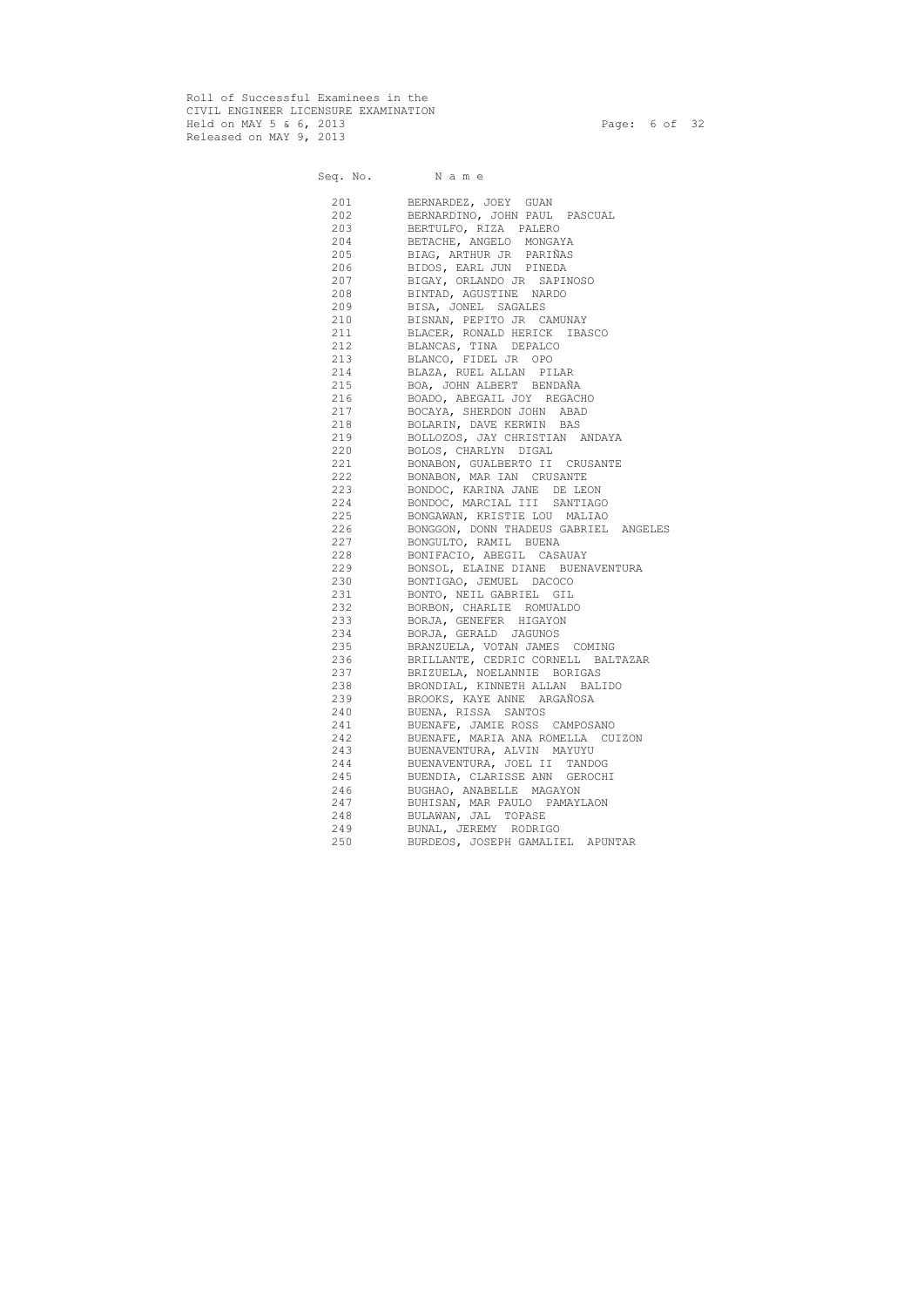Roll of Successful Examinees in the CIVIL ENGINEER LICENSURE EXAMINATION Held on MAY 5 & 6, 2013 Page: 6 of 32 Released on MAY 9, 2013

Seq. No. Name 201 BERNARDEZ, JOEY GUAN 202 BERNARDINO, JOHN PAUL PASCUAL 203 BERTULFO, RIZA PALERO 204 BETACHE, ANGELO MONGAYA 205 BIAG, ARTHUR JR PARIÑAS 206 BIDOS, EARL JUN PINEDA 207 BIGAY, ORLANDO JR SAPINOSO 208 BINTAD, AGUSTINE NARDO 209 BISA, JONEL SAGALES 210 BISNAN, PEPITO JR CAMUNAY 211 BLACER, RONALD HERICK IBASCO 212 BLANCAS, TINA DEPALCO 213 BLANCO, FIDEL JR OPO 214 BLAZA, RUEL ALLAN PILAR 215 BOA, JOHN ALBERT BENDAÑA 216 BOADO, ABEGAIL JOY REGACHO 217 BOCAYA, SHERDON JOHN ABAD 218 BOLARIN, DAVE KERWIN BAS 219 BOLLOZOS, JAY CHRISTIAN ANDAYA 220 BOLOS, CHARLYN DIGAL 221 BONABON, GUALBERTO II CRUSANTE 222 BONABON, MAR IAN CRUSANTE 223 BONDOC, KARINA JANE DE LEON 224 BONDOC, MARCIAL III SANTIAGO 225 BONGAWAN, KRISTIE LOU MALIAO 226 BONGGON, DONN THADEUS GABRIEL ANGELES 227 BONGULTO, RAMIL BUENA 228 BONIFACIO, ABEGIL CASAUAY 229 BONSOL, ELAINE DIANE BUENAVENTURA 230 BONTIGAO, JEMUEL DACOCO 231 BONTO, NEIL GABRIEL GIL 232 BORBON, CHARLIE ROMUALDO 233 BORJA, GENEFER HIGAYON 234 BORJA, GERALD JAGUNOS 235 BRANZUELA, VOTAN JAMES COMING 236 BRILLANTE, CEDRIC CORNELL BALTAZAR 237 BRIZUELA, NOELANNIE BORIGAS 238 BRONDIAL, KINNETH ALLAN BALIDO 239 BROOKS, KAYE ANNE ARGAÑOSA 240 BUENA, RISSA SANTOS 241 BUENAFE, JAMIE ROSS CAMPOSANO 242 BUENAFE, MARIA ANA ROMELLA CUIZON 243 BUENAVENTURA, ALVIN MAYUYU 244 BUENAVENTURA, JOEL II TANDOG 245 BUENDIA, CLARISSE ANN GEROCHI 246 BUGHAO, ANABELLE MAGAYON 247 BUHISAN, MAR PAULO PAMAYLAON 248 BULAWAN, JAL TOPASE 249 BUNAL, JEREMY RODRIGO 250 BURDEOS, JOSEPH GAMALIEL APUNTAR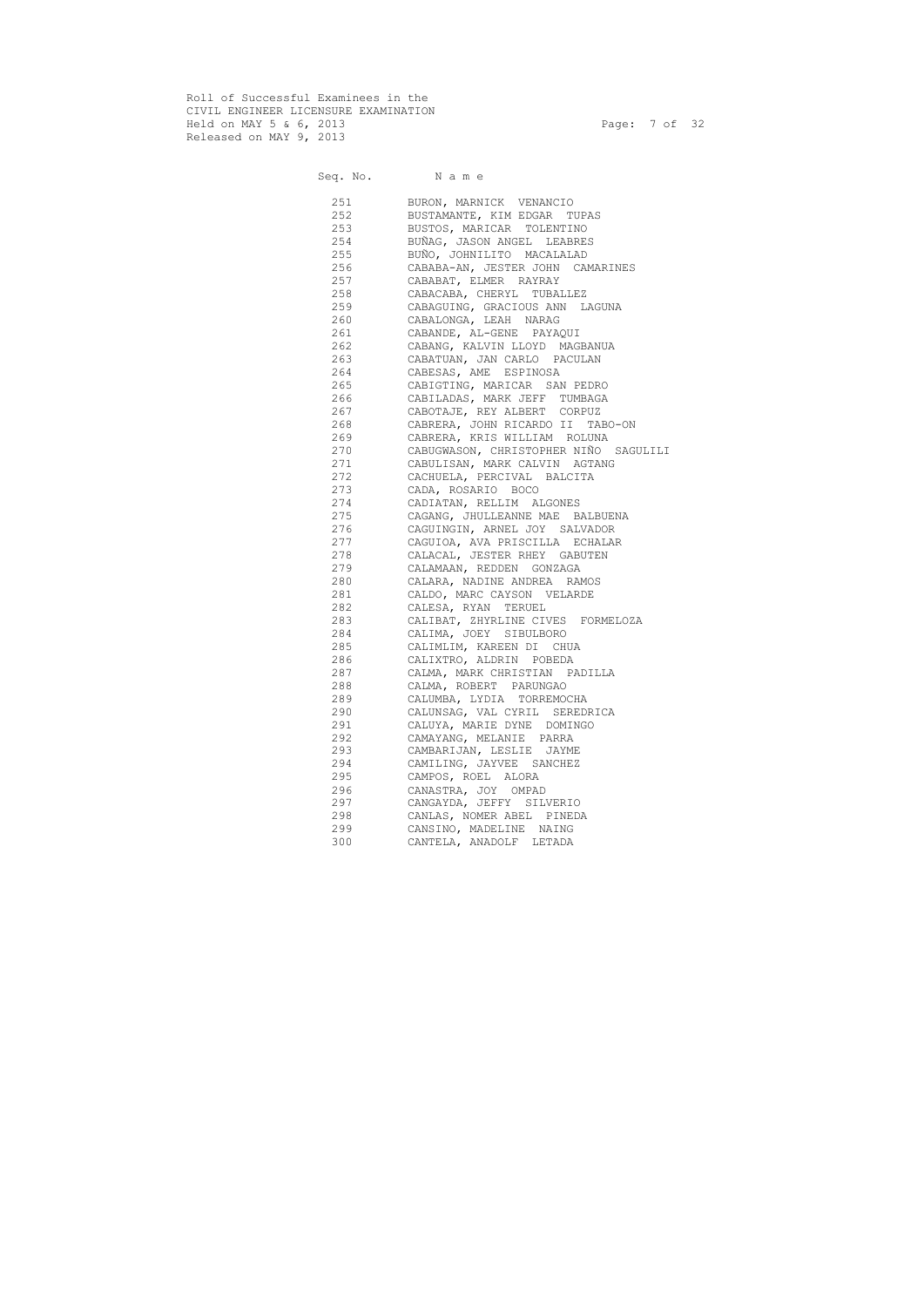Roll of Successful Examinees in the CIVIL ENGINEER LICENSURE EXAMINATION Held on MAY 5 & 6, 2013 Page: 7 of 32 Released on MAY 9, 2013

Seq. No. Name 251 BURON, MARNICK VENANCIO 252 BUSTAMANTE, KIM EDGAR TUPAS 253 BUSTOS, MARICAR TOLENTINO 254 BUÑAG, JASON ANGEL LEABRES 255 BUÑO, JOHNILITO MACALALAD 256 CABABA-AN, JESTER JOHN CAMARINES 257 CABABAT, ELMER RAYRAY 258 CABACABA, CHERYL TUBALLEZ 259 CABAGUING, GRACIOUS ANN LAGUNA 260 CABALONGA, LEAH NARAG 261 CABANDE, AL-GENE PAYAQUI 262 CABANG, KALVIN LLOYD MAGBANUA 263 CABATUAN, JAN CARLO PACULAN 264 CABESAS, AME ESPINOSA 265 CABIGTING, MARICAR SAN PEDRO 266 CABILADAS, MARK JEFF TUMBAGA 267 CABOTAJE, REY ALBERT CORPUZ 268 CABRERA, JOHN RICARDO II TABO-ON 269 CABRERA, KRIS WILLIAM ROLUNA 270 CABUGWASON, CHRISTOPHER NIÑO SAGULILI 271 CABULISAN, MARK CALVIN AGTANG 272 CACHUELA, PERCIVAL BALCITA 273 CADA, ROSARIO BOCO 274 CADIATAN, RELLIM ALGONES 275 CAGANG, JHULLEANNE MAE BALBUENA 276 CAGUINGIN, ARNEL JOY SALVADOR 277 CAGUIOA, AVA PRISCILLA ECHALAR 278 CALACAL, JESTER RHEY GABUTEN 279 CALAMAAN, REDDEN GONZAGA 280 CALARA, NADINE ANDREA RAMOS 281 CALDO, MARC CAYSON VELARDE 282 CALESA, RYAN TERUEL 283 CALIBAT, ZHYRLINE CIVES FORMELOZA 284 CALIMA, JOEY SIBULBORO 285 CALIMLIM, KAREEN DI CHUA 286 CALIXTRO, ALDRIN POBEDA 287 CALMA, MARK CHRISTIAN PADILLA 288 CALMA, ROBERT PARUNGAO 289 CALUMBA, LYDIA TORREMOCHA 290 CALUNSAG, VAL CYRIL SEREDRICA 291 CALUYA, MARIE DYNE DOMINGO 292 CAMAYANG, MELANIE PARRA 293 CAMBARIJAN, LESLIE JAYME 294 CAMILING, JAYVEE SANCHEZ 295 CAMPOS, ROEL ALORA 296 CANASTRA, JOY OMPAD 297 CANGAYDA, JEFFY SILVERIO 298 CANLAS, NOMER ABEL PINEDA 299 CANSINO, MADELINE NAING 300 CANTELA, ANADOLF LETADA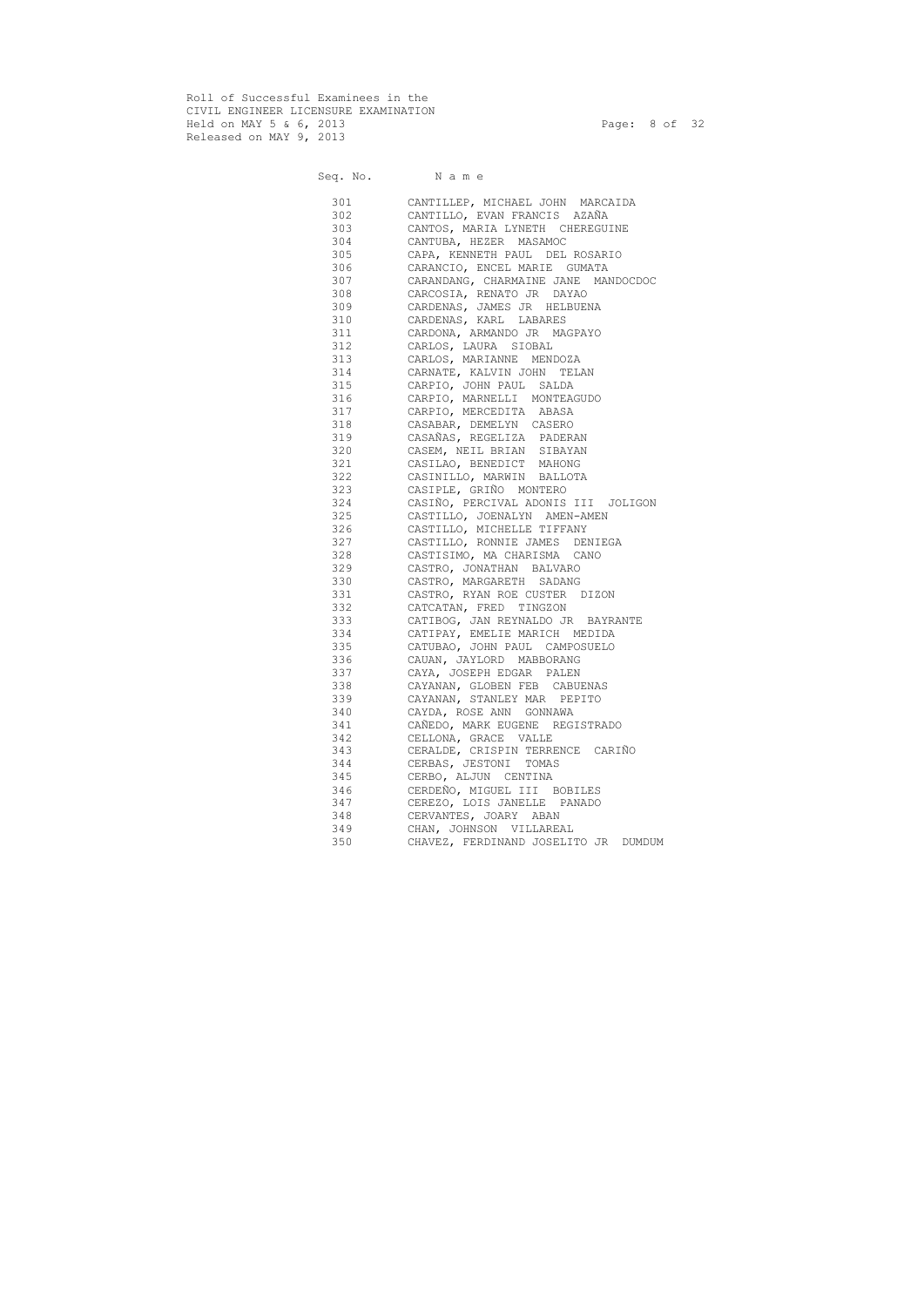Roll of Successful Examinees in the CIVIL ENGINEER LICENSURE EXAMINATION Held on MAY 5 & 6, 2013 Page: 8 of 32 Released on MAY 9, 2013

## Seq. No. Name 301 CANTILLEP, MICHAEL JOHN MARCAIDA 302 CANTILLO, EVAN FRANCIS AZAÑA 303 CANTOS, MARIA LYNETH CHEREGUINE 304 CANTUBA, HEZER MASAMOC 305 CAPA, KENNETH PAUL DEL ROSARIO 306 CARANCIO, ENCEL MARIE GUMATA 307 CARANDANG, CHARMAINE JANE MANDOCDOC 308 CARCOSIA, RENATO JR DAYAO 309 CARDENAS, JAMES JR HELBUENA 310 CARDENAS, KARL LABARES 311 CARDONA, ARMANDO JR MAGPAYO 312 CARLOS, LAURA SIOBAL 313 CARLOS, MARIANNE MENDOZA 314 CARNATE, KALVIN JOHN TELAN 315 CARPIO, JOHN PAUL SALDA 316 CARPIO, MARNELLI MONTEAGUDO 317 CARPIO, MERCEDITA ABASA 318 CASABAR, DEMELYN CASERO 319 CASAÑAS, REGELIZA PADERAN 320 CASEM, NEIL BRIAN SIBAYAN 321 CASILAO, BENEDICT MAHONG 322 CASINILLO, MARWIN BALLOTA 323 CASIPLE, GRIÑO MONTERO 324 CASIÑO, PERCIVAL ADONIS III JOLIGON 325 CASTILLO, JOENALYN AMEN-AMEN 326 CASTILLO, MICHELLE TIFFANY 327 CASTILLO, RONNIE JAMES DENIEGA 328 CASTISIMO, MA CHARISMA CANO 329 CASTRO, JONATHAN BALVARO 330 CASTRO, MARGARETH SADANG 331 CASTRO, RYAN ROE CUSTER DIZON 332 CATCATAN, FRED TINGZON 333 CATIBOG, JAN REYNALDO JR BAYRANTE 334 CATIPAY, EMELIE MARICH MEDIDA 335 CATUBAO, JOHN PAUL CAMPOSUELO 336 CAUAN, JAYLORD MABBORANG 337 CAYA, JOSEPH EDGAR PALEN 338 CAYANAN, GLOBEN FEB CABUENAS 339 CAYANAN, STANLEY MAR PEPITO 340 CAYDA, ROSE ANN GONNAWA 341 CAÑEDO, MARK EUGENE REGISTRADO 342 CELLONA, GRACE VALLE 343 CERALDE, CRISPIN TERRENCE CARIÑO 344 CERBAS, JESTONI TOMAS 345 CERBO, ALJUN CENTINA 346 CERDEÑO, MIGUEL III BOBILES 347 CEREZO, LOIS JANELLE PANADO 348 CERVANTES, JOARY ABAN 349 CHAN, JOHNSON VILLAREAL 350 CHAVEZ, FERDINAND JOSELITO JR DUMDUM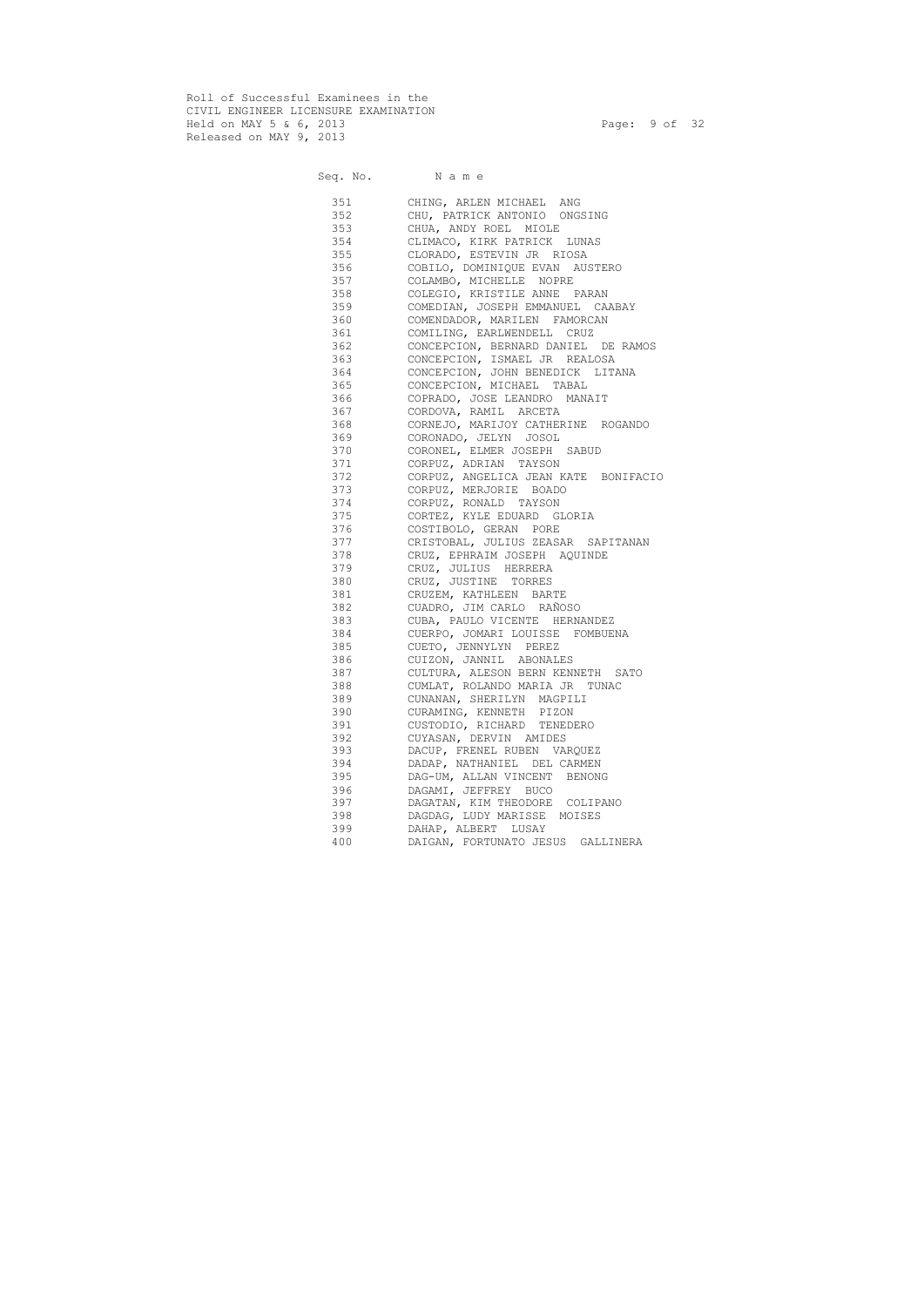Roll of Successful Examinees in the CIVIL ENGINEER LICENSURE EXAMINATION Held on MAY 5 & 6, 2013 Page: 9 of 32 Released on MAY 9, 2013

Seq. No. Name 351 CHING, ARLEN MICHAEL ANG 352 CHU, PATRICK ANTONIO ONGSING 353 CHUA, ANDY ROEL MIOLE 354 CLIMACO, KIRK PATRICK LUNAS 355 CLORADO, ESTEVIN JR RIOSA 356 COBILO, DOMINIQUE EVAN AUSTERO 357 COLAMBO, MICHELLE NOPRE 358 COLEGIO, KRISTILE ANNE PARAN 359 COMEDIAN, JOSEPH EMMANUEL CAABAY 360 COMENDADOR, MARILEN FAMORCAN 361 COMILING, EARLWENDELL CRUZ 362 CONCEPCION, BERNARD DANIEL DE RAMOS 363 CONCEPCION, ISMAEL JR REALOSA 364 CONCEPCION, JOHN BENEDICK LITANA 365 CONCEPCION, MICHAEL TABAL 366 COPRADO, JOSE LEANDRO MANAIT 367 CORDOVA, RAMIL ARCETA 368 CORNEJO, MARIJOY CATHERINE ROGANDO 369 CORONADO, JELYN JOSOL 370 CORONEL, ELMER JOSEPH SABUD 371 CORPUZ, ADRIAN TAYSON 372 CORPUZ, ANGELICA JEAN KATE BONIFACIO 373 CORPUZ, MERJORIE BOADO 374 CORPUZ, RONALD TAYSON 375 CORTEZ, KYLE EDUARD GLORIA 376 COSTIBOLO, GERAN PORE 377 CRISTOBAL, JULIUS ZEASAR SAPITANAN 378 CRUZ, EPHRAIM JOSEPH AQUINDE 379 CRUZ, JULIUS HERRERA 380 CRUZ, JUSTINE TORRES 381 CRUZEM, KATHLEEN BARTE 382 CUADRO, JIM CARLO RAÑOSO 383 CUBA, PAULO VICENTE HERNANDEZ 384 CUERPO, JOMARI LOUISSE FOMBUENA 385 CUETO, JENNYLYN PEREZ 386 CUIZON, JANNIL ABONALES 387 CULTURA, ALESON BERN KENNETH SATO 388 CUMLAT, ROLANDO MARIA JR TUNAC 389 CUNANAN, SHERILYN MAGPILI 390 CURAMING, KENNETH PIZON 391 CUSTODIO, RICHARD TENEDERO 392 CUYASAN, DERVIN AMIDES 393 DACUP, FRENEL RUBEN VARQUEZ 394 DADAP, NATHANIEL DEL CARMEN 395 DAG-UM, ALLAN VINCENT BENONG 396 DAGAMI, JEFFREY BUCO 397 DAGATAN, KIM THEODORE COLIPANO 398 DAGDAG, LUDY MARISSE MOISES 399 DAHAP, ALBERT LUSAY 400 DAIGAN, FORTUNATO JESUS GALLINERA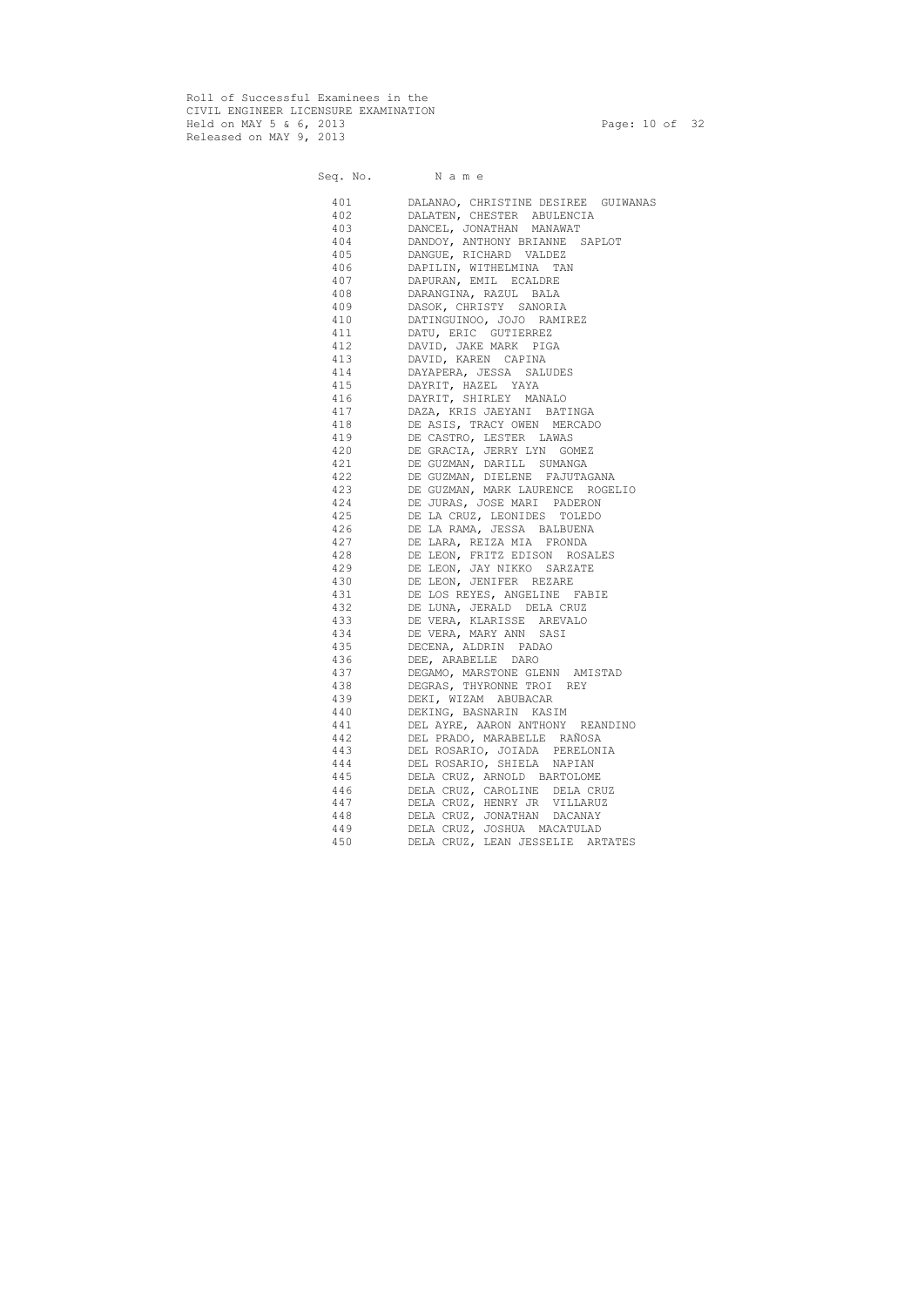Roll of Successful Examinees in the CIVIL ENGINEER LICENSURE EXAMINATION Held on MAY 5 & 6, 2013 Page: 10 of 32 Released on MAY 9, 2013

|            | Seq. No. Name                                                 |
|------------|---------------------------------------------------------------|
| 401        | DALANAO, CHRISTINE DESIREE GUIWANAS                           |
| 402        | DALATEN, CHESTER ABULENCIA                                    |
| 403        | DANCEL, JONATHAN MANAWAT                                      |
| 404        | DANDOY, ANTHONY BRIANNE SAPLOT                                |
| 405        | DANGUE, RICHARD VALDEZ                                        |
| 406        | DAPILIN, WITHELMINA TAN                                       |
| 407        | DAPURAN, EMIL ECALDRE                                         |
| 408        | DARANGINA, RAZUL BALA                                         |
| 409        | DASOK, CHRISTY SANORIA                                        |
| 410        | DATINGUINOO, JOJO RAMIREZ                                     |
| 411        | DATU, ERIC GUTIERREZ                                          |
| 412        | DAVID, JAKE MARK PIGA                                         |
| 413        | DAVID, KAREN CAPINA                                           |
| 414        | DAYAPERA, JESSA SALUDES                                       |
| 415        | DAYRIT, HAZEL YAYA                                            |
| 416        | DAYRIT, SHIRLEY MANALO                                        |
| 417        | DAZA, KRIS JAEYANI BATINGA                                    |
| 418        | DE ASIS, TRACY OWEN MERCADO                                   |
| 419        | DE CASTRO, LESTER LAWAS                                       |
| 420        | DE GRACIA, JERRY LYN GOMEZ                                    |
| 421        | DE GUZMAN, DARILL SUMANGA                                     |
| 422        | DE GUZMAN, DIELENE FAJUTAGANA                                 |
| 423        | DE GUZMAN, MARK LAURENCE ROGELIO                              |
| 424        | DE JURAS, JOSE MARI PADERON                                   |
| 425        | DE LA CRUZ, LEONIDES TOLEDO                                   |
| 426        | DE LA RAMA, JESSA BALBUENA                                    |
| 427        | DE LARA, REIZA MIA FRONDA                                     |
| 428        | DE LEON, FRITZ EDISON ROSALES                                 |
| 429        | DE LEON, JAY NIKKO SARZATE                                    |
| 430        | DE LEON, JENIFER REZARE                                       |
| 431        | DE LOS REYES, ANGELINE FABIE                                  |
| 432        | DE LUNA, JERALD DELA CRUZ                                     |
| 433        | DE VERA, KLARISSE AREVALO                                     |
| 434        | DE VERA, MARY ANN SASI                                        |
| 435        | DECENA, ALDRIN PADAO                                          |
| 436        | DEE, ARABELLE DARO                                            |
| 437        | DEGAMO, MARSTONE GLENN AMISTAD                                |
| 438        | DEGRAS, THYRONNE TROI REY                                     |
| 439        | DEKI, WIZAM ABUBACAR                                          |
| 440        | DEKING, BASNARIN KASIM                                        |
| 441        | DEL AYRE, AARON ANTHONY REANDINO                              |
| 442        | DEL PRADO, MARABELLE RAÑOSA                                   |
| 443        | DEL ROSARIO, JOIADA PERELONIA                                 |
| 444        | DEL ROSARIO, SHIELA NAPIAN                                    |
| 445<br>446 | DELA CRUZ, ARNOLD BARTOLOME                                   |
| 447        | DELA CRUZ, CAROLINE DELA CRUZ<br>DELA CRUZ, HENRY JR VILLARUZ |
| 448        | DELA CRUZ, JONATHAN DACANAY                                   |
| 449        | DELA CRUZ, JOSHUA MACATULAD                                   |
| 450        | DELA CRUZ, LEAN JESSELIE ARTATES                              |
|            |                                                               |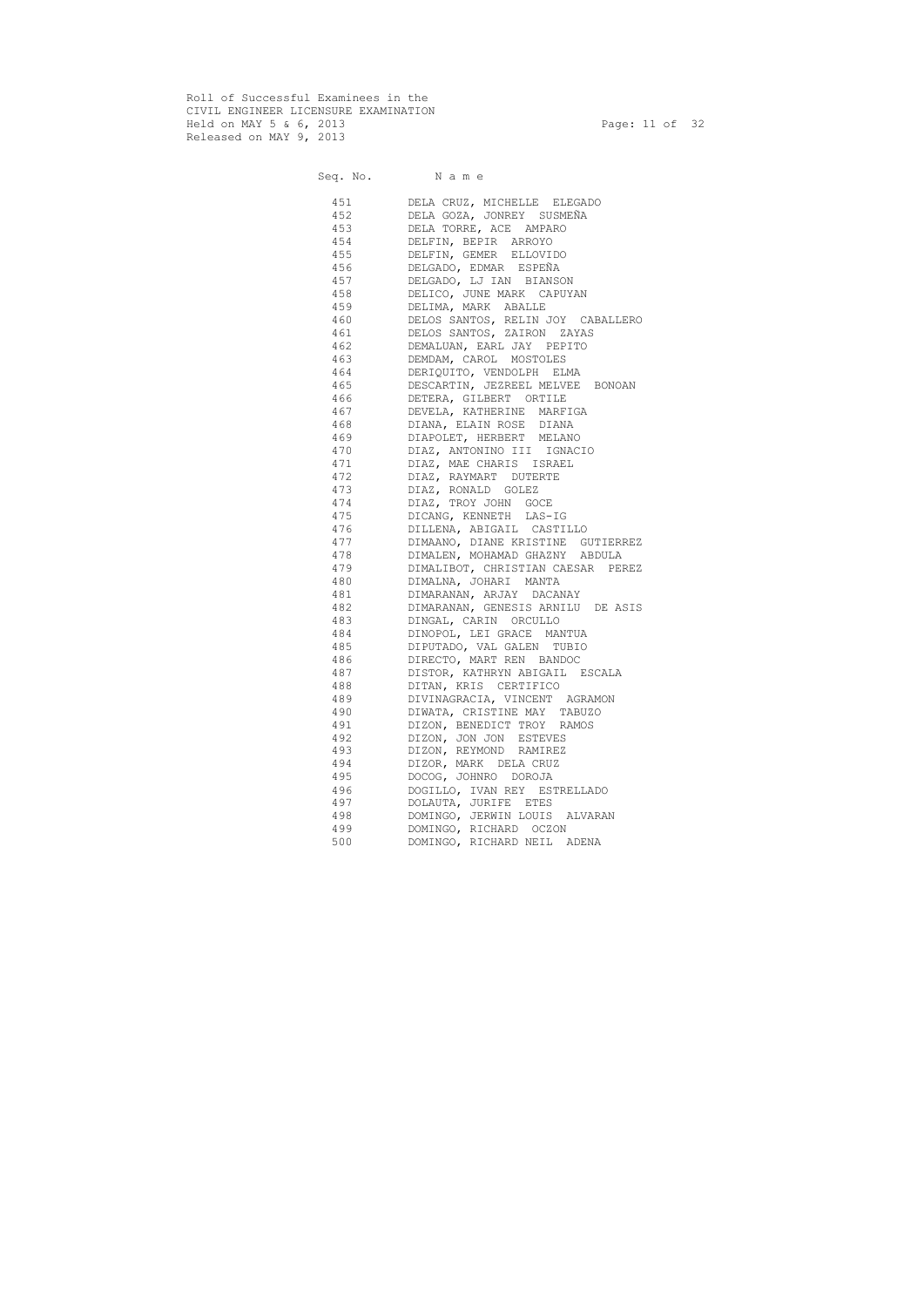Roll of Successful Examinees in the CIVIL ENGINEER LICENSURE EXAMINATION Held on MAY 5 & 6, 2013 Page: 11 of 32 Released on MAY 9, 2013

Seq. No. Name 451 DELA CRUZ, MICHELLE ELEGADO 452 DELA GOZA, JONREY SUSMEÑA 453 DELA TORRE, ACE AMPARO 454 DELFIN, BEPIR ARROYO 455 DELFIN, GEMER ELLOVIDO 456 DELGADO, EDMAR ESPEÑA 457 DELGADO, LJ IAN BIANSON 458 DELICO, JUNE MARK CAPUYAN 459 DELIMA, MARK ABALLE 460 DELOS SANTOS, RELIN JOY CABALLERO 461 DELOS SANTOS, ZAIRON ZAYAS 462 DEMALUAN, EARL JAY PEPITO 463 DEMDAM, CAROL MOSTOLES 464 DERIQUITO, VENDOLPH ELMA 465 DESCARTIN, JEZREEL MELVEE BONOAN 466 DETERA, GILBERT ORTILE 467 DEVELA, KATHERINE MARFIGA 468 DIANA, ELAIN ROSE DIANA 469 DIAPOLET, HERBERT MELANO 470 DIAZ, ANTONINO III IGNACIO 471 DIAZ, MAE CHARIS ISRAEL 472 DIAZ, RAYMART DUTERTE 473 DIAZ, RONALD GOLEZ 474 DIAZ, TROY JOHN GOCE 475 DICANG, KENNETH LAS-IG 476 DILLENA, ABIGAIL CASTILLO 477 DIMAANO, DIANE KRISTINE GUTIERREZ 478 DIMALEN, MOHAMAD GHAZNY ABDULA 479 DIMALIBOT, CHRISTIAN CAESAR PEREZ 480 DIMALNA, JOHARI MANTA 481 DIMARANAN, ARJAY DACANAY 482 DIMARANAN, GENESIS ARNILU DE ASIS 483 DINGAL, CARIN ORCULLO 484 DINOPOL, LEI GRACE MANTUA 485 DIPUTADO, VAL GALEN TUBIO 486 DIRECTO, MART REN BANDOC 487 DISTOR, KATHRYN ABIGAIL ESCALA 488 DITAN, KRIS CERTIFICO 489 DIVINAGRACIA, VINCENT AGRAMON 490 DIWATA, CRISTINE MAY TABUZO 491 DIZON, BENEDICT TROY RAMOS 492 DIZON, JON JON ESTEVES 493 DIZON, REYMOND RAMIREZ 494 DIZOR, MARK DELA CRUZ 495 DOCOG, JOHNRO DOROJA 496 DOGILLO, IVAN REY ESTRELLADO 497 DOLAUTA, JURIFE ETES 498 DOMINGO, JERWIN LOUIS ALVARAN 499 DOMINGO, RICHARD OCZON 500 DOMINGO, RICHARD NEIL ADENA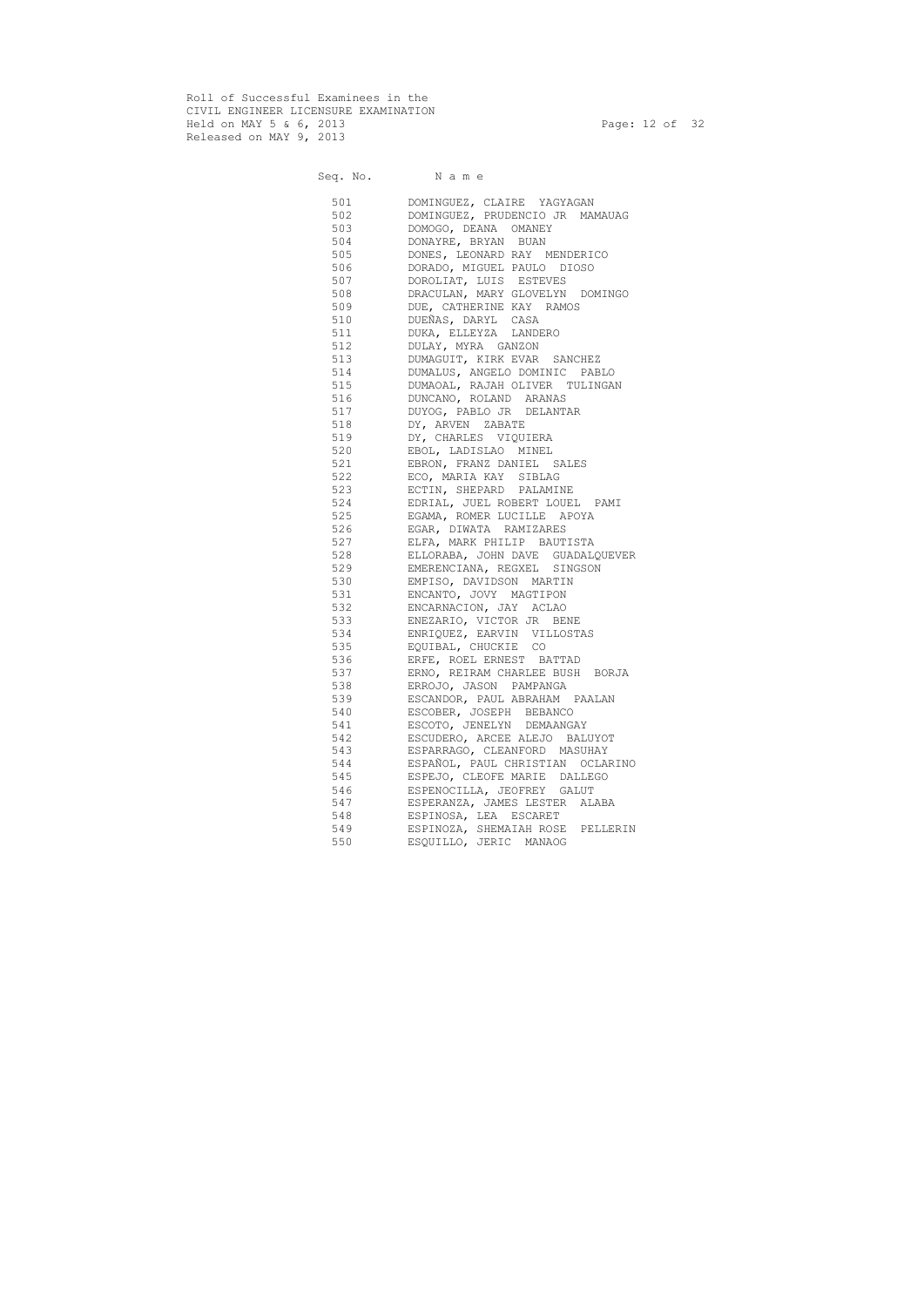Roll of Successful Examinees in the CIVIL ENGINEER LICENSURE EXAMINATION Held on MAY 5 & 6, 2013 Page: 12 of 32 Released on MAY 9, 2013

Seq. No. Name

 501 DOMINGUEZ, CLAIRE YAGYAGAN 502 DOMINGUEZ, PRUDENCIO JR MAMAUAG 503 DOMOGO, DEANA OMANEY 504 DONAYRE, BRYAN BUAN 505 DONES, LEONARD RAY MENDERICO 506 DORADO, MIGUEL PAULO DIOSO 507 DOROLIAT, LUIS ESTEVES 508 DRACULAN, MARY GLOVELYN DOMINGO 509 DUE, CATHERINE KAY RAMOS 510 DUEÑAS, DARYL CASA 511 DUKA, ELLEYZA LANDERO 512 DULAY, MYRA GANZON 513 DUMAGUIT, KIRK EVAR SANCHEZ 514 DUMALUS, ANGELO DOMINIC PABLO 515 DUMAOAL, RAJAH OLIVER TULINGAN 516 DUNCANO, ROLAND ARANAS 517 DUYOG, PABLO JR DELANTAR 518 DY, ARVEN ZABATE 519 DY, CHARLES VIQUIERA 520 EBOL, LADISLAO MINEL 521 EBRON, FRANZ DANIEL SALES 522 ECO, MARIA KAY SIBLAG 523 ECTIN, SHEPARD PALAMINE 524 EDRIAL, JUEL ROBERT LOUEL PAMI 525 EGAMA, ROMER LUCILLE APOYA 526 EGAR, DIWATA RAMIZARES 527 ELFA, MARK PHILIP BAUTISTA 528 ELLORABA, JOHN DAVE GUADALQUEVER 529 EMERENCIANA, REGXEL SINGSON 530 EMPISO, DAVIDSON MARTIN 531 ENCANTO, JOVY MAGTIPON 532 ENCARNACION, JAY ACLAO 533 ENEZARIO, VICTOR JR BENE 534 ENRIQUEZ, EARVIN VILLOSTAS 535 EQUIBAL, CHUCKIE CO 536 ERFE, ROEL ERNEST BATTAD 537 ERNO, REIRAM CHARLEE BUSH BORJA 538 ERROJO, JASON PAMPANGA 539 ESCANDOR, PAUL ABRAHAM PAALAN 540 ESCOBER, JOSEPH BEBANCO 541 ESCOTO, JENELYN DEMAANGAY 542 ESCUDERO, ARCEE ALEJO BALUYOT 543 ESPARRAGO, CLEANFORD MASUHAY 544 ESPAÑOL, PAUL CHRISTIAN OCLARINO 545 ESPEJO, CLEOFE MARIE DALLEGO 546 ESPENOCILLA, JEOFREY GALUT 547 ESPERANZA, JAMES LESTER ALABA 548 ESPINOSA, LEA ESCARET 549 ESPINOZA, SHEMAIAH ROSE PELLERIN 550 ESQUILLO, JERIC MANAOG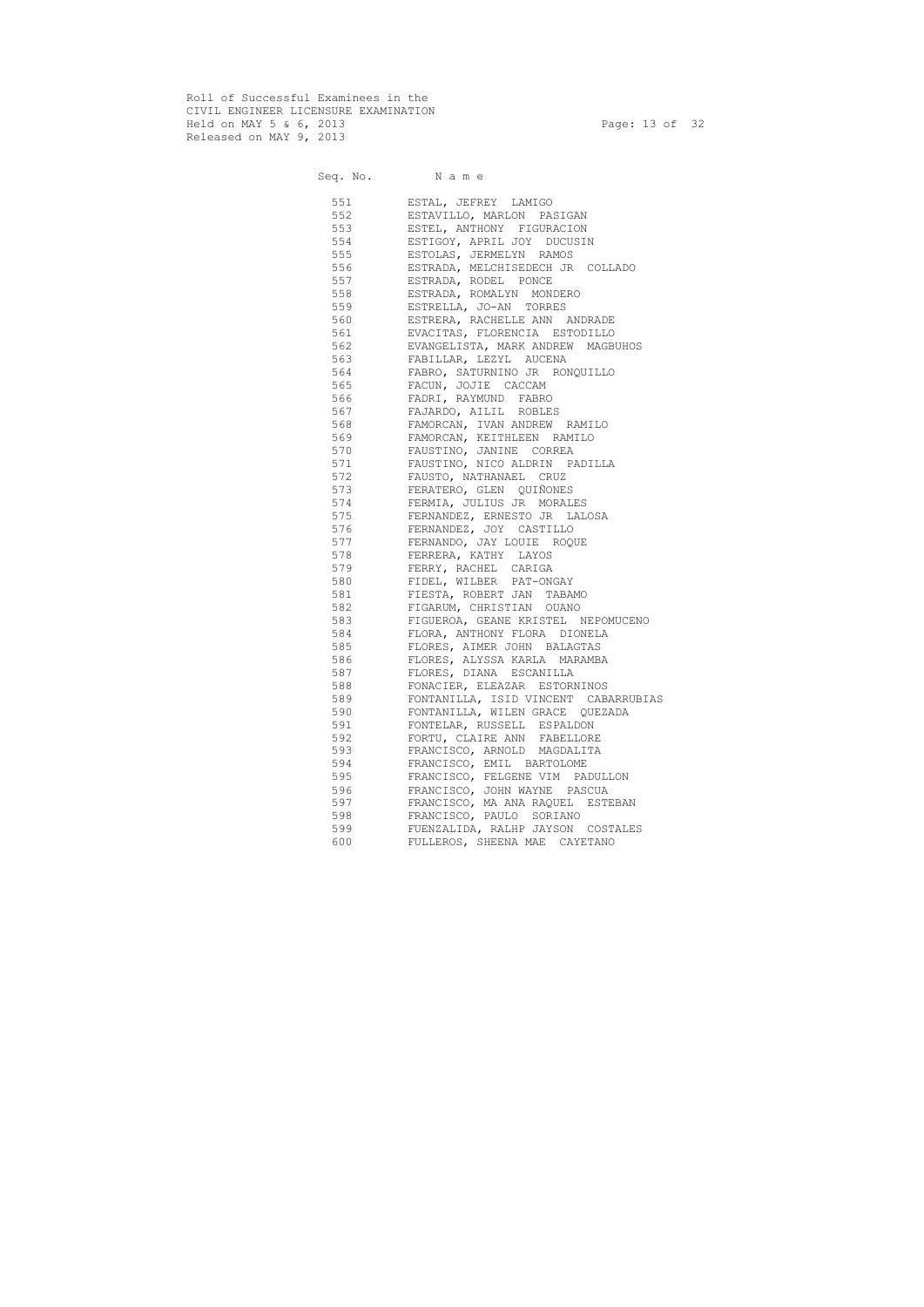Roll of Successful Examinees in the CIVIL ENGINEER LICENSURE EXAMINATION Held on MAY 5 & 6, 2013 Page: 13 of 32 Released on MAY 9, 2013

Seq. No. Name

 551 ESTAL, JEFREY LAMIGO 552 ESTAVILLO, MARLON PASIGAN<br>553 ESTEL, ANTHONY FIGURACION ESTEL, ANTHONY FIGURACION 554 ESTIGOY, APRIL JOY DUCUSIN 555 ESTOLAS, JERMELYN RAMOS 556 ESTRADA, MELCHISEDECH JR COLLADO 557 ESTRADA, RODEL PONCE 558 ESTRADA, ROMALYN MONDERO 559 ESTRELLA, JO-AN TORRES 560 ESTRERA, RACHELLE ANN ANDRADE 561 EVACITAS, FLORENCIA ESTODILLO 562 EVANGELISTA, MARK ANDREW MAGBUHOS 563 FABILLAR, LEZYL AUCENA 564 FABRO, SATURNINO JR RONQUILLO 565 FACUN, JOJIE CACCAM 566 FADRI, RAYMUND FABRO 567 FAJARDO, AILIL ROBLES 568 FAMORCAN, IVAN ANDREW RAMILO 569 FAMORCAN, KEITHLEEN RAMILO 570 FAUSTINO, JANINE CORREA 571 FAUSTINO, NICO ALDRIN PADILLA 572 FAUSTO, NATHANAEL CRUZ 573 FERATERO, GLEN QUIÑONES 574 FERMIA, JULIUS JR MORALES 575 FERNANDEZ, ERNESTO JR LALOSA 576 FERNANDEZ, JOY CASTILLO 577 FERNANDO, JAY LOUIE ROQUE 578 FERRERA, KATHY LAYOS 579 FERRY, RACHEL CARIGA 580 FIDEL, WILBER PAT-ONGAY 581 FIESTA, ROBERT JAN TABAMO 582 FIGARUM, CHRISTIAN OUANO 583 FIGUEROA, GEANE KRISTEL NEPOMUCENO 584 FLORA, ANTHONY FLORA DIONELA 585 FLORES, AIMER JOHN BALAGTAS 586 FLORES, ALYSSA KARLA MARAMBA 587 FLORES, DIANA ESCANILLA 588 FONACIER, ELEAZAR ESTORNINOS 589 FONTANILLA, ISID VINCENT CABARRUBIAS 590 FONTANILLA, WILEN GRACE QUEZADA 591 FONTELAR, RUSSELL ESPALDON 592 FORTU, CLAIRE ANN FABELLORE 593 FRANCISCO, ARNOLD MAGDALITA 594 FRANCISCO, EMIL BARTOLOME 595 FRANCISCO, FELGENE VIM PADULLON 596 FRANCISCO, JOHN WAYNE PASCUA 597 FRANCISCO, MA ANA RAQUEL ESTEBAN 598 FRANCISCO, PAULO SORIANO 599 FUENZALIDA, RALHP JAYSON COSTALES 600 FULLEROS, SHEENA MAE CAYETANO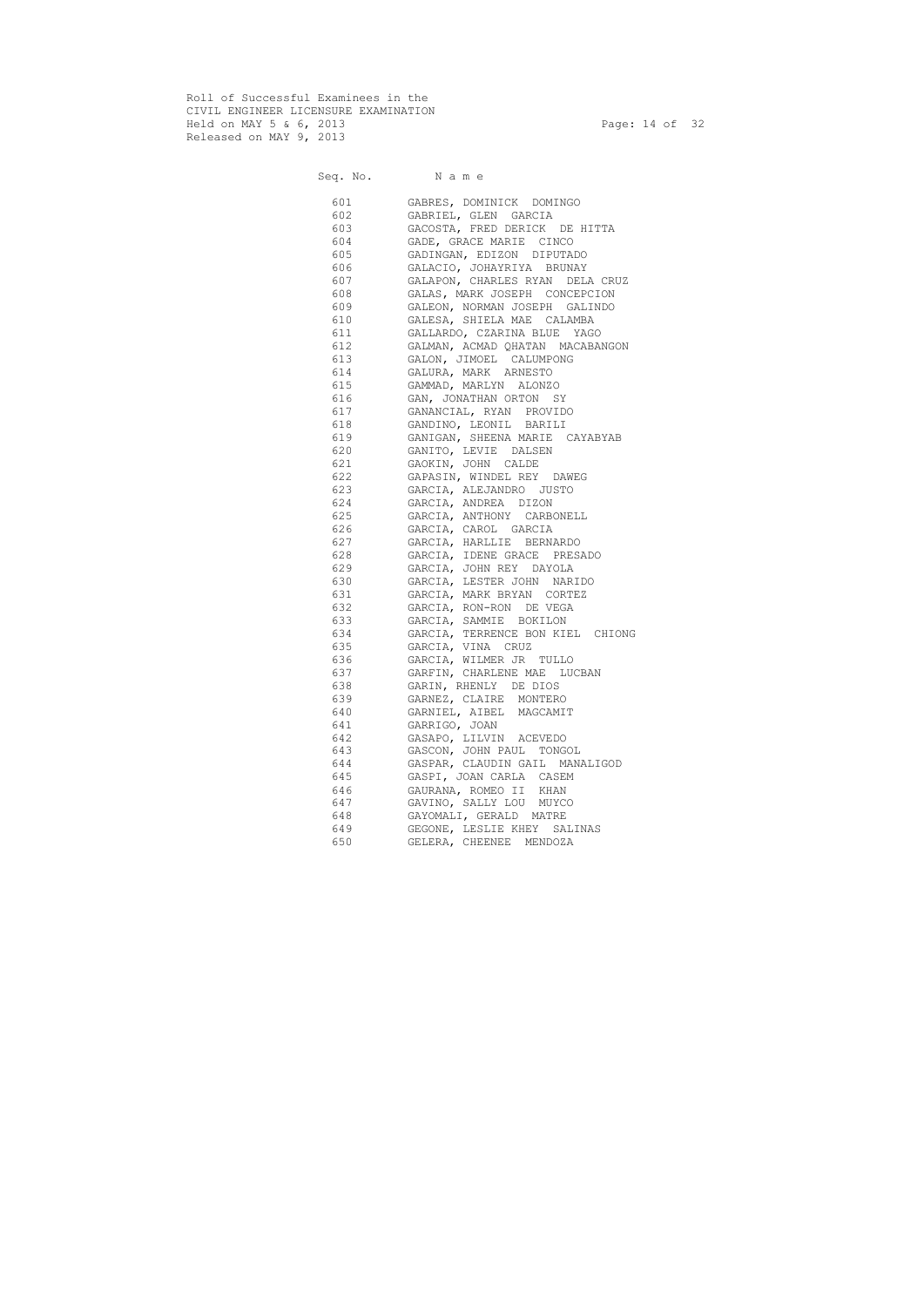Roll of Successful Examinees in the CIVIL ENGINEER LICENSURE EXAMINATION Held on MAY 5 & 6, 2013 Page: 14 of 32 Released on MAY 9, 2013

Seq. No. Name 601 GABRES, DOMINICK DOMINGO 602 GABRIEL, GLEN GARCIA 603 GACOSTA, FRED DERICK DE HITTA 604 GADE, GRACE MARIE CINCO 605 GADINGAN, EDIZON DIPUTADO 606 GALACIO, JOHAYRIYA BRUNAY 607 GALAPON, CHARLES RYAN DELA CRUZ 608 GALAS, MARK JOSEPH CONCEPCION 609 GALEON, NORMAN JOSEPH GALINDO 610 GALESA, SHIELA MAE CALAMBA 611 GALLARDO, CZARINA BLUE YAGO 612 GALMAN, ACMAD QHATAN MACABANGON 613 GALON, JIMOEL CALUMPONG 614 GALURA, MARK ARNESTO 615 GAMMAD, MARLYN ALONZO 616 GAN, JONATHAN ORTON SY 617 GANANCIAL, RYAN PROVIDO 618 GANDINO, LEONIL BARILI 619 GANIGAN, SHEENA MARIE CAYABYAB 620 GANITO, LEVIE DALSEN 621 GAOKIN, JOHN CALDE 622 GAPASIN, WINDEL REY DAWEG 623 GARCIA, ALEJANDRO JUSTO 624 GARCIA, ANDREA DIZON 625 GARCIA, ANTHONY CARBONELL 626 GARCIA, CAROL GARCIA 627 GARCIA, HARLLIE BERNARDO 628 GARCIA, IDENE GRACE PRESADO 629 GARCIA, JOHN REY DAYOLA 630 GARCIA, LESTER JOHN NARIDO 631 GARCIA, MARK BRYAN CORTEZ 632 GARCIA, RON-RON DE VEGA 633 GARCIA, SAMMIE BOKILON 634 GARCIA, TERRENCE BON KIEL CHIONG 635 GARCIA, VINA CRUZ 636 GARCIA, WILMER JR TULLO 637 GARFIN, CHARLENE MAE LUCBAN 638 GARIN, RHENLY DE DIOS 639 GARNEZ, CLAIRE MONTERO 640 GARNIEL, AIBEL MAGCAMIT 641 GARRIGO, JOAN 642 GASAPO, LILVIN ACEVEDO 643 GASCON, JOHN PAUL TONGOL 644 GASPAR, CLAUDIN GAIL MANALIGOD 645 GASPI, JOAN CARLA CASEM 646 GAURANA, ROMEO II KHAN 647 GAVINO, SALLY LOU MUYCO 648 GAYOMALI, GERALD MATRE 649 GEGONE, LESLIE KHEY SALINAS 650 GELERA, CHEENEE MENDOZA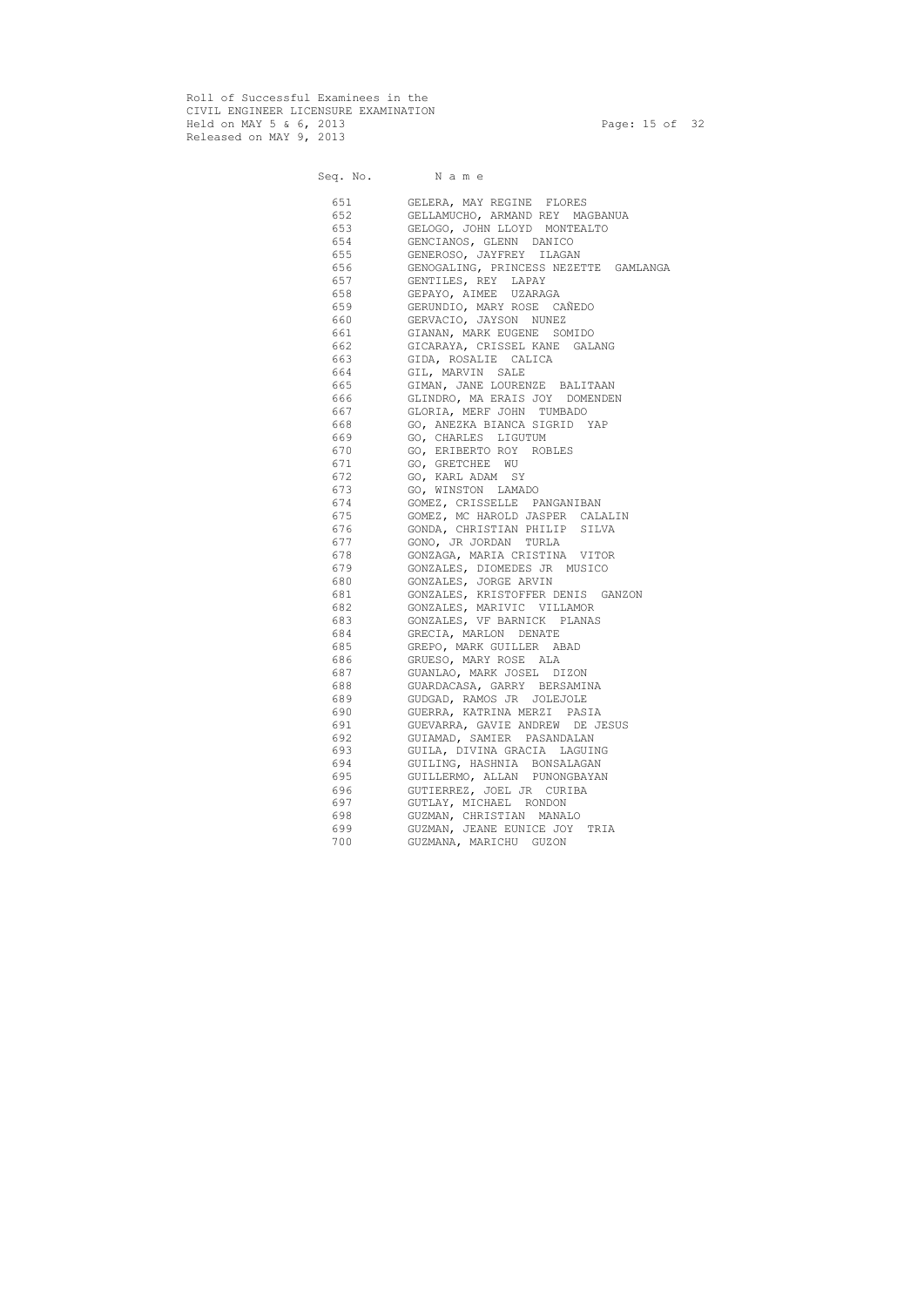Roll of Successful Examinees in the CIVIL ENGINEER LICENSURE EXAMINATION Held on MAY 5 & 6, 2013 Page: 15 of 32 Released on MAY 9, 2013

Seq. No. Name 651 GELERA, MAY REGINE FLORES 652 GELLAMUCHO, ARMAND REY MAGBANUA 653 GELOGO, JOHN LLOYD MONTEALTO 654 GENCIANOS, GLENN DANICO 655 GENEROSO, JAYFREY ILAGAN 656 GENOGALING, PRINCESS NEZETTE GAMLANGA 657 GENTILES, REY LAPAY 658 GEPAYO, AIMEE UZARAGA 659 GERUNDIO, MARY ROSE CAÑEDO 660 GERVACIO, JAYSON NUNEZ 661 GIANAN, MARK EUGENE SOMIDO 662 GICARAYA, CRISSEL KANE GALANG 663 GIDA, ROSALIE CALICA 664 GIL, MARVIN SALE 665 GIMAN, JANE LOURENZE BALITAAN 666 GLINDRO, MA ERAIS JOY DOMENDEN 667 GLORIA, MERF JOHN TUMBADO 668 GO, ANEZKA BIANCA SIGRID YAP 669 GO, CHARLES LIGUTUM 670 GO, ERIBERTO ROY ROBLES 671 GO, GRETCHEE WU 672 GO, KARL ADAM SY 673 GO, WINSTON LAMADO 674 GOMEZ, CRISSELLE PANGANIBAN 675 GOMEZ, MC HAROLD JASPER CALALIN 676 GONDA, CHRISTIAN PHILIP SILVA 677 GONO, JR JORDAN TURLA 678 GONZAGA, MARIA CRISTINA VITOR 679 GONZALES, DIOMEDES JR MUSICO 680 GONZALES, JORGE ARVIN 681 GONZALES, KRISTOFFER DENIS GANZON 682 GONZALES, MARIVIC VILLAMOR 683 GONZALES, VF BARNICK PLANAS 684 GRECIA, MARLON DENATE 685 GREPO, MARK GUILLER ABAD 686 GRUESO, MARY ROSE ALA 687 GUANLAO, MARK JOSEL DIZON 688 GUARDACASA, GARRY BERSAMINA 689 GUDGAD, RAMOS JR JOLEJOLE 690 GUERRA, KATRINA MERZI PASIA 691 GUEVARRA, GAVIE ANDREW DE JESUS 692 GUIAMAD, SAMIER PASANDALAN 693 GUILA, DIVINA GRACIA LAGUING 694 GUILING, HASHNIA BONSALAGAN 695 GUILLERMO, ALLAN PUNONGBAYAN 696 GUTIERREZ, JOEL JR CURIBA 697 GUTLAY, MICHAEL RONDON 698 GUZMAN, CHRISTIAN MANALO 699 GUZMAN, JEANE EUNICE JOY TRIA 700 GUZMANA, MARICHU GUZON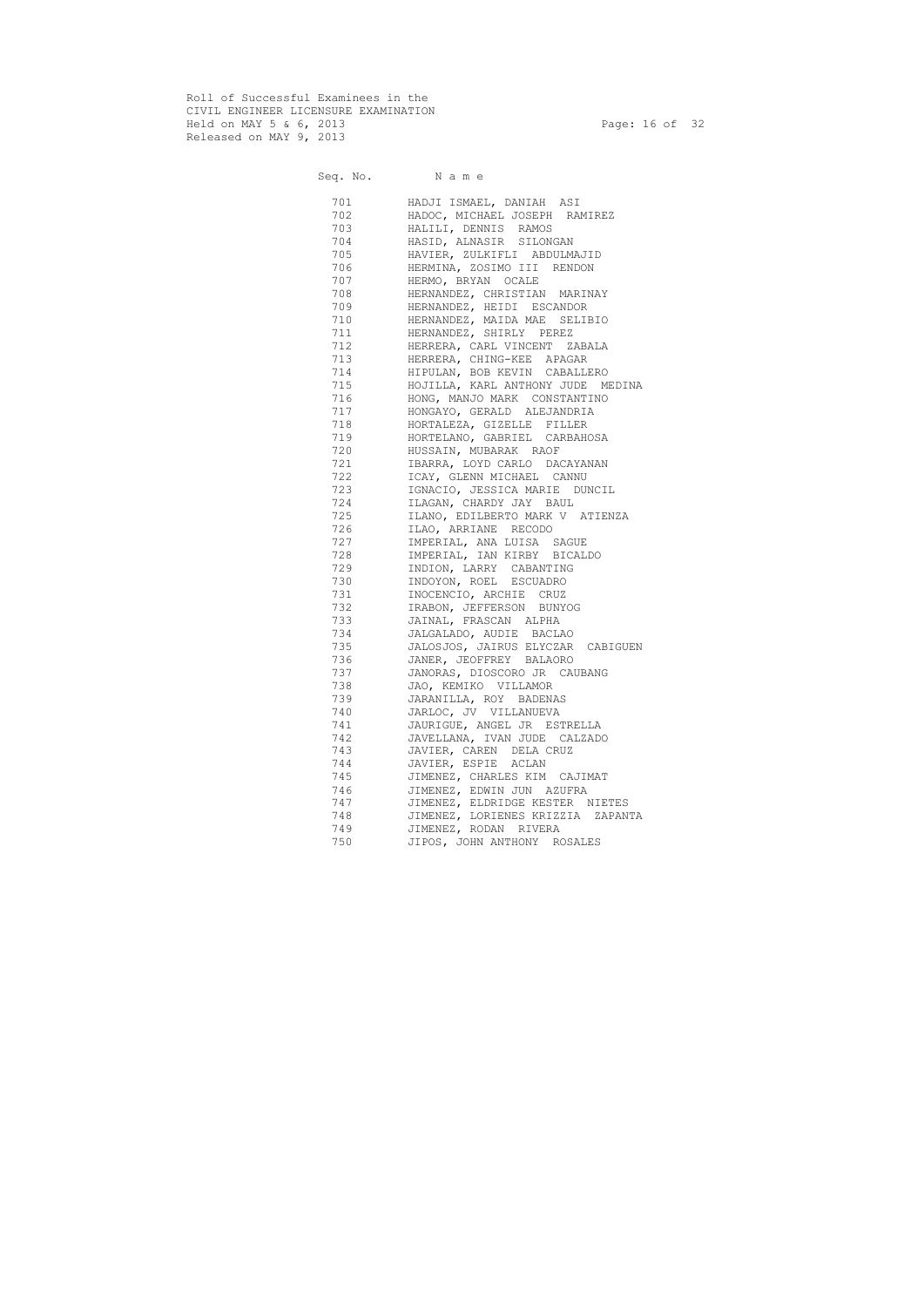Roll of Successful Examinees in the CIVIL ENGINEER LICENSURE EXAMINATION Held on MAY 5 & 6, 2013 Page: 16 of 32 Released on MAY 9, 2013

Seq. No. Name 701 HADJI ISMAEL, DANIAH ASI 702 HADOC, MICHAEL JOSEPH RAMIREZ 703 HALILI, DENNIS RAMOS 704 HASID, ALNASIR SILONGAN 705 HAVIER, ZULKIFLI ABDULMAJID 706 HERMINA, ZOSIMO III RENDON 707 HERMO, BRYAN OCALE 708 HERNANDEZ, CHRISTIAN MARINAY 709 HERNANDEZ, HEIDI ESCANDOR 710 HERNANDEZ, MAIDA MAE SELIBIO 711 HERNANDEZ, SHIRLY PEREZ 712 HERRERA, CARL VINCENT ZABALA 713 HERRERA, CHING-KEE APAGAR 714 HIPULAN, BOB KEVIN CABALLERO 715 HOJILLA, KARL ANTHONY JUDE MEDINA 716 HONG, MANJO MARK CONSTANTINO 717 HONGAYO, GERALD ALEJANDRIA 718 HORTALEZA, GIZELLE FILLER 719 HORTELANO, GABRIEL CARBAHOSA 720 HUSSAIN, MUBARAK RAOF 721 IBARRA, LOYD CARLO DACAYANAN 722 ICAY, GLENN MICHAEL CANNU 723 IGNACIO, JESSICA MARIE DUNCIL 724 ILAGAN, CHARDY JAY BAUL 725 ILANO, EDILBERTO MARK V ATIENZA 726 ILAO, ARRIANE RECODO 727 IMPERIAL, ANA LUISA SAGUE 728 IMPERIAL, IAN KIRBY BICALDO 729 INDION, LARRY CABANTING 730 INDOYON, ROEL ESCUADRO 731 INOCENCIO, ARCHIE CRUZ 732 IRABON, JEFFERSON BUNYOG 733 JAINAL, FRASCAN ALPHA 734 JALGALADO, AUDIE BACLAO 735 JALOSJOS, JAIRUS ELYCZAR CABIGUEN 736 JANER, JEOFFREY BALAORO 737 JANORAS, DIOSCORO JR CAUBANG 738 JAO, KEMIKO VILLAMOR 739 JARANILLA, ROY BADENAS 740 JARLOC, JV VILLANUEVA 741 JAURIGUE, ANGEL JR ESTRELLA 742 JAVELLANA, IVAN JUDE CALZADO 743 JAVIER, CAREN DELA CRUZ 744 JAVIER, ESPIE ACLAN 745 JIMENEZ, CHARLES KIM CAJIMAT 746 JIMENEZ, EDWIN JUN AZUFRA 747 JIMENEZ, ELDRIDGE KESTER NIETES 748 JIMENEZ, LORIENES KRIZZIA ZAPANTA 749 JIMENEZ, RODAN RIVERA 750 JIPOS, JOHN ANTHONY ROSALES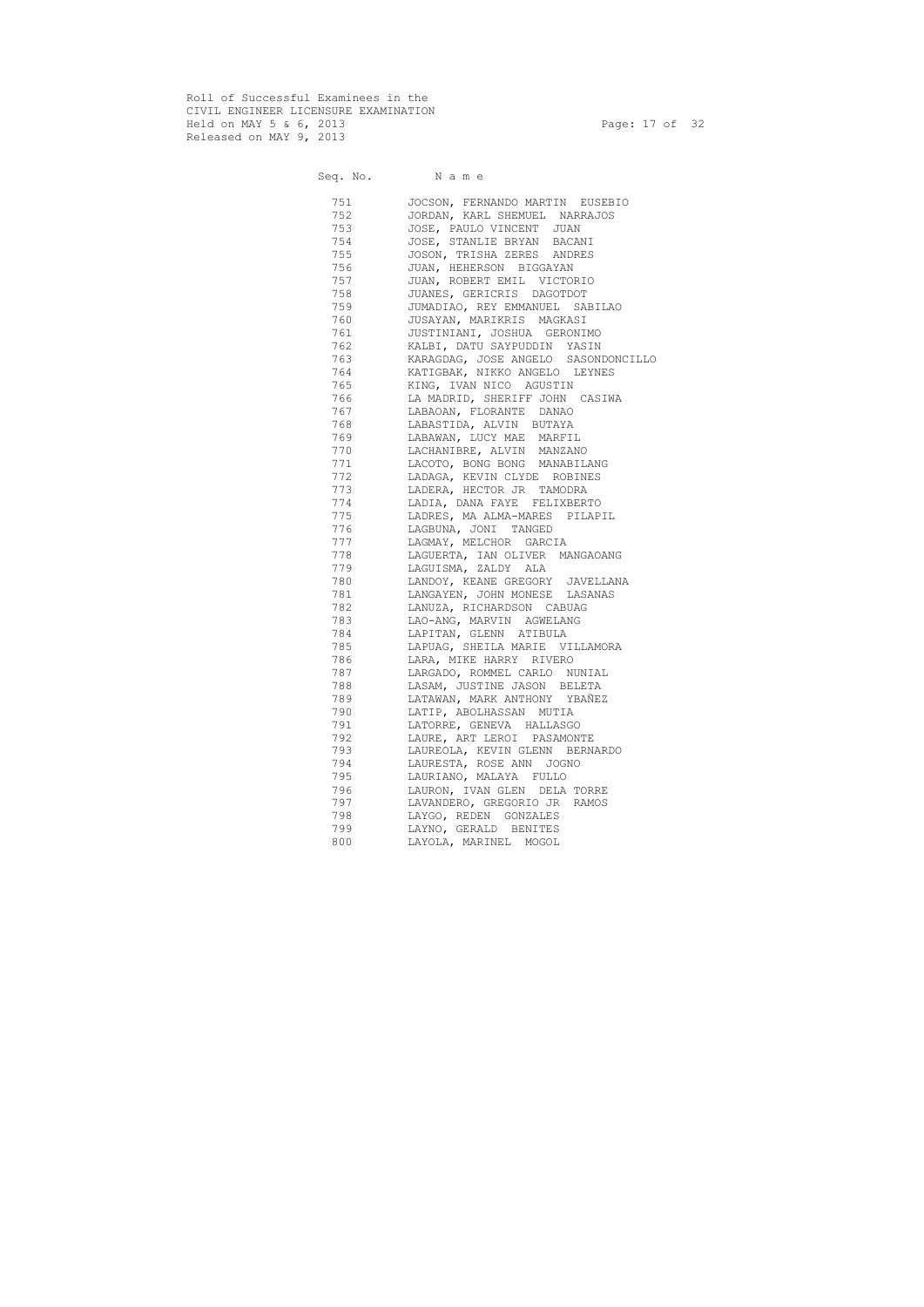Roll of Successful Examinees in the CIVIL ENGINEER LICENSURE EXAMINATION Held on MAY 5 & 6, 2013 Page: 17 of 32 Released on MAY 9, 2013

Seq. No. Name

 751 JOCSON, FERNANDO MARTIN EUSEBIO 752 JORDAN, KARL SHEMUEL NARRAJOS 753 JOSE, PAULO VINCENT JUAN 754 JOSE, STANLIE BRYAN BACANI 755 JOSON, TRISHA ZERES ANDRES 756 JUAN, HEHERSON BIGGAYAN 757 JUAN, ROBERT EMIL VICTORIO 758 JUANES, GERICRIS DAGOTDOT 759 JUMADIAO, REY EMMANUEL SABILAO 760 JUSAYAN, MARIKRIS MAGKASI 761 JUSTINIANI, JOSHUA GERONIMO 762 KALBI, DATU SAYPUDDIN YASIN 763 KARAGDAG, JOSE ANGELO SASONDONCILLO 764 KATIGBAK, NIKKO ANGELO LEYNES 765 KING, IVAN NICO AGUSTIN 766 LA MADRID, SHERIFF JOHN CASIWA 767 LABAOAN, FLORANTE DANAO 768 LABASTIDA, ALVIN BUTAYA 769 LABAWAN, LUCY MAE MARFIL 770 LACHANIBRE, ALVIN MANZANO 771 LACOTO, BONG BONG MANABILANG 772 LADAGA, KEVIN CLYDE ROBINES 773 LADERA, HECTOR JR TAMODRA 774 LADIA, DANA FAYE FELIXBERTO 775 LADRES, MA ALMA-MARES PILAPIL 776 LAGBUNA, JONI TANGED 777 LAGMAY, MELCHOR GARCIA 778 LAGUERTA, IAN OLIVER MANGAOANG 779 LAGUISMA, ZALDY ALA 780 LANDOY, KEANE GREGORY JAVELLANA 781 LANGAYEN, JOHN MONESE LASANAS 782 LANUZA, RICHARDSON CABUAG 783 LAO-ANG, MARVIN AGWELANG 784 LAPITAN, GLENN ATIBULA 785 LAPUAG, SHEILA MARIE VILLAMORA 786 LARA, MIKE HARRY RIVERO 787 LARGADO, ROMMEL CARLO NUNIAL 788 LASAM, JUSTINE JASON BELETA 789 LATAWAN, MARK ANTHONY YBAÑEZ 790 LATIP, ABOLHASSAN MUTIA 791 LATORRE, GENEVA HALLASGO 792 LAURE, ART LEROI PASAMONTE 793 LAUREOLA, KEVIN GLENN BERNARDO 794 LAURESTA, ROSE ANN JOGNO 795 LAURIANO, MALAYA FULLO 796 LAURON, IVAN GLEN DELA TORRE 797 LAVANDERO, GREGORIO JR RAMOS 798 LAYGO, REDEN GONZALES 799 LAYNO, GERALD BENITES 800 LAYOLA, MARINEL MOGOL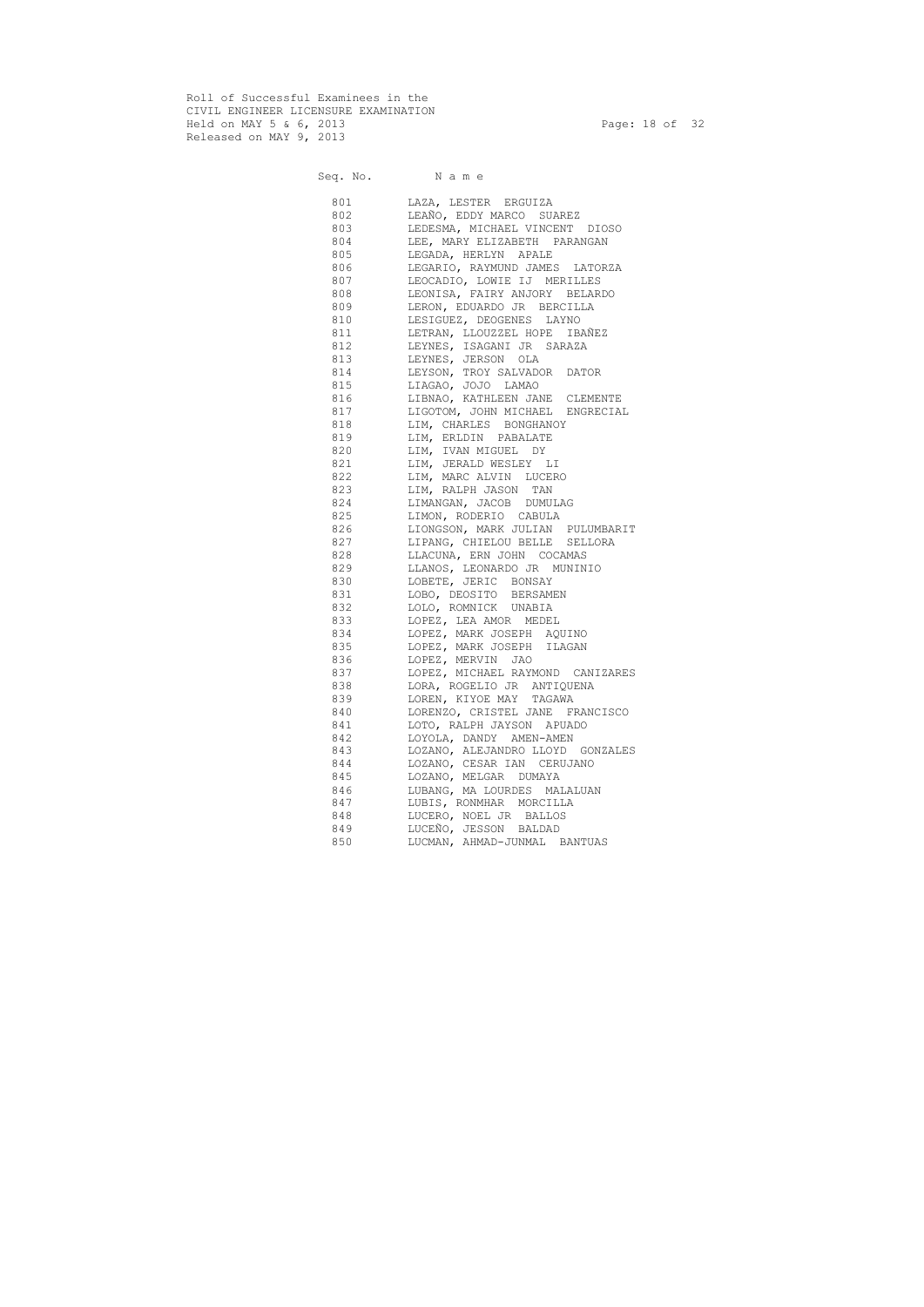Roll of Successful Examinees in the CIVIL ENGINEER LICENSURE EXAMINATION Held on MAY 5 & 6, 2013 Page: 18 of 32 Released on MAY 9, 2013

Seq. No. Name

 801 LAZA, LESTER ERGUIZA 802 LEAÑO, EDDY MARCO SUAREZ 803 LEDESMA, MICHAEL VINCENT DIOSO 804 LEE, MARY ELIZABETH PARANGAN 805 LEGADA, HERLYN APALE 806 LEGARIO, RAYMUND JAMES LATORZA 807 LEOCADIO, LOWIE IJ MERILLES 808 LEONISA, FAIRY ANJORY BELARDO 809 LERON, EDUARDO JR BERCILLA 810 LESIGUEZ, DEOGENES LAYNO 811 LETRAN, LLOUZZEL HOPE IBAÑEZ 812 LEYNES, ISAGANI JR SARAZA 813 LEYNES, JERSON OLA 814 LEYSON, TROY SALVADOR DATOR 815 LIAGAO, JOJO LAMAO 816 LIBNAO, KATHLEEN JANE CLEMENTE 817 LIGOTOM, JOHN MICHAEL ENGRECIAL 818 LIM, CHARLES BONGHANOY 819 LIM, ERLDIN PABALATE 820 LIM, IVAN MIGUEL DY 821 LIM, JERALD WESLEY LI 822 LIM, MARC ALVIN LUCERO 823 LIM, RALPH JASON TAN 824 LIMANGAN, JACOB DUMULAG 825 LIMON, RODERIO CABULA 826 LIONGSON, MARK JULIAN PULUMBARIT 827 LIPANG, CHIELOU BELLE SELLORA 828 LLACUNA, ERN JOHN COCAMAS 829 LLANOS, LEONARDO JR MUNINIO 830 LOBETE, JERIC BONSAY 831 LOBO, DEOSITO BERSAMEN 832 LOLO, ROMNICK UNABIA 833 LOPEZ, LEA AMOR MEDEL 834 LOPEZ, MARK JOSEPH AQUINO 835 LOPEZ, MARK JOSEPH ILAGAN 836 LOPEZ, MERVIN JAO 837 LOPEZ, MICHAEL RAYMOND CANIZARES 838 LORA, ROGELIO JR ANTIQUENA 839 LOREN, KIYOE MAY TAGAWA 840 LORENZO, CRISTEL JANE FRANCISCO 841 LOTO, RALPH JAYSON APUADO 842 LOYOLA, DANDY AMEN-AMEN 843 LOZANO, ALEJANDRO LLOYD GONZALES 844 LOZANO, CESAR IAN CERUJANO 845 LOZANO, MELGAR DUMAYA 846 LUBANG, MA LOURDES MALALUAN 847 LUBIS, RONMHAR MORCILLA 848 LUCERO, NOEL JR BALLOS 849 LUCEÑO, JESSON BALDAD 850 LUCMAN, AHMAD-JUNMAL BANTUAS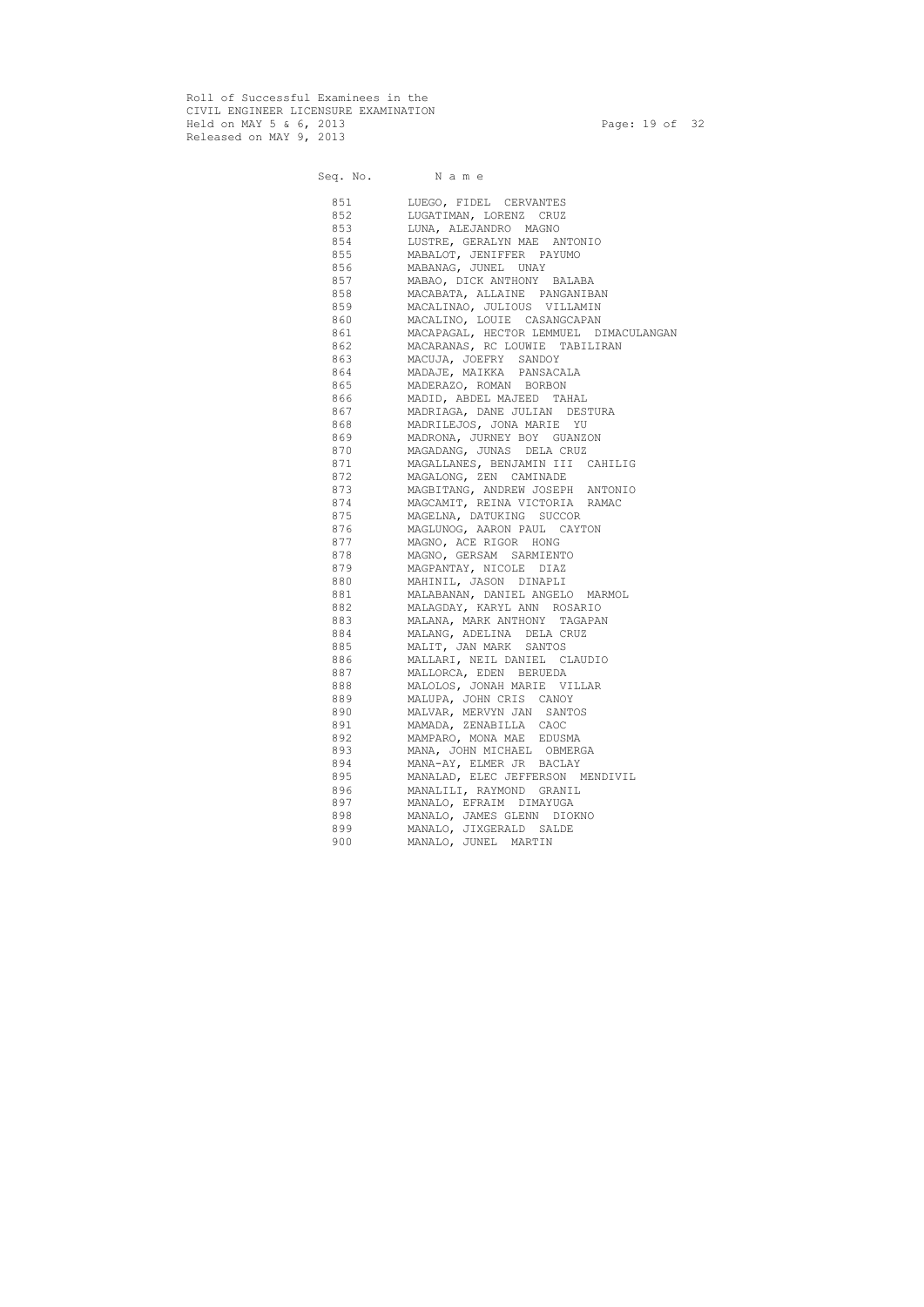Roll of Successful Examinees in the CIVIL ENGINEER LICENSURE EXAMINATION Held on MAY 5 & 6, 2013 Page: 19 of 32 Released on MAY 9, 2013

Seq. No. Name

 851 LUEGO, FIDEL CERVANTES 852 LUGATIMAN, LORENZ CRUZ 853 LUNA, ALEJANDRO MAGNO 854 LUSTRE, GERALYN MAE ANTONIO 855 MABALOT, JENIFFER PAYUMO 856 MABANAG, JUNEL UNAY 857 MABAO, DICK ANTHONY BALABA 858 MACABATA, ALLAINE PANGANIBAN 859 MACALINAO, JULIOUS VILLAMIN 860 MACALINO, LOUIE CASANGCAPAN 861 MACAPAGAL, HECTOR LEMMUEL DIMACULANGAN 862 MACARANAS, RC LOUWIE TABILIRAN 863 MACUJA, JOEFRY SANDOY 864 MADAJE, MAIKKA PANSACALA 865 MADERAZO, ROMAN BORBON 866 MADID, ABDEL MAJEED TAHAL 867 MADRIAGA, DANE JULIAN DESTURA 868 MADRILEJOS, JONA MARIE YU 869 MADRONA, JURNEY BOY GUANZON 870 MAGADANG, JUNAS DELA CRUZ 871 MAGALLANES, BENJAMIN III CAHILIG 872 MAGALONG, ZEN CAMINADE 873 MAGBITANG, ANDREW JOSEPH ANTONIO 874 MAGCAMIT, REINA VICTORIA RAMAC 875 MAGELNA, DATUKING SUCCOR 876 MAGLUNOG, AARON PAUL CAYTON 877 MAGNO, ACE RIGOR HONG 878 MAGNO, GERSAM SARMIENTO 879 MAGPANTAY, NICOLE DIAZ 880 MAHINIL, JASON DINAPLI 881 MALABANAN, DANIEL ANGELO MARMOL 882 MALAGDAY, KARYL ANN ROSARIO 883 MALANA, MARK ANTHONY TAGAPAN 884 MALANG, ADELINA DELA CRUZ 885 MALIT, JAN MARK SANTOS 886 MALLARI, NEIL DANIEL CLAUDIO 887 MALLORCA, EDEN BERUEDA 888 MALOLOS, JONAH MARIE VILLAR 889 MALUPA, JOHN CRIS CANOY 890 MALVAR, MERVYN JAN SANTOS 891 MAMADA, ZENABILLA CAOC 892 MAMPARO, MONA MAE EDUSMA 893 MANA, JOHN MICHAEL OBMERGA 894 MANA-AY, ELMER JR BACLAY 895 MANALAD, ELEC JEFFERSON MENDIVIL 896 MANALILI, RAYMOND GRANIL 897 MANALO, EFRAIM DIMAYUGA 898 MANALO, JAMES GLENN DIOKNO 899 MANALO, JIXGERALD SALDE 900 MANALO, JUNEL MARTIN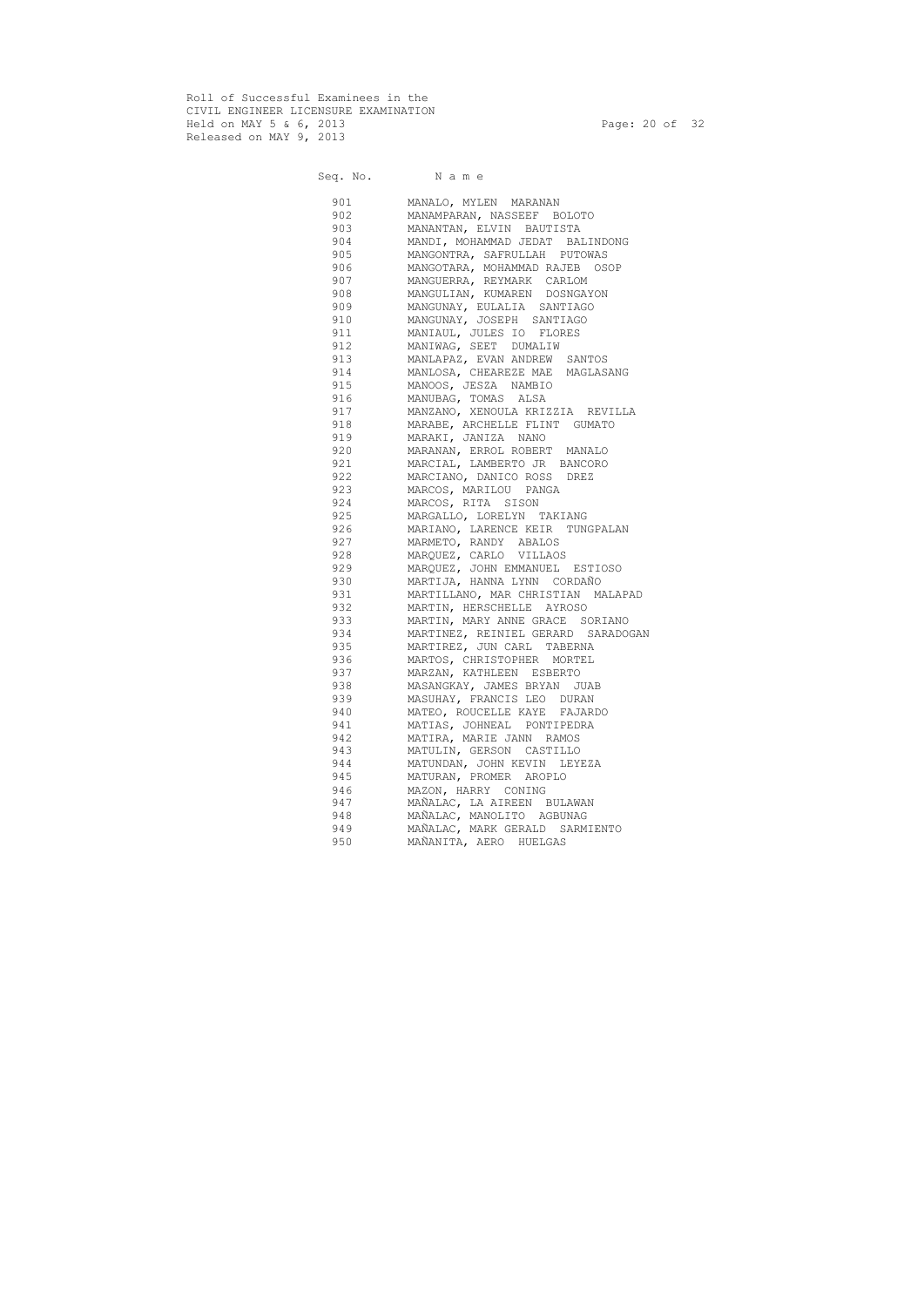Roll of Successful Examinees in the CIVIL ENGINEER LICENSURE EXAMINATION Held on MAY 5 & 6, 2013 Page: 20 of 32 Released on MAY 9, 2013

Seq. No. Name

 901 MANALO, MYLEN MARANAN 902 MANAMPARAN, NASSEEF BOLOTO 903 MANANTAN, ELVIN BAUTISTA 904 MANDI, MOHAMMAD JEDAT BALINDONG 905 MANGONTRA, SAFRULLAH PUTOWAS 906 MANGOTARA, MOHAMMAD RAJEB OSOP 907 MANGUERRA, REYMARK CARLOM 908 MANGULIAN, KUMAREN DOSNGAYON 909 MANGUNAY, EULALIA SANTIAGO 910 MANGUNAY, JOSEPH SANTIAGO 911 MANIAUL, JULES IO FLORES 912 MANIWAG, SEET DUMALIW 913 MANLAPAZ, EVAN ANDREW SANTOS 914 MANLOSA, CHEAREZE MAE MAGLASANG 915 MANOOS, JESZA NAMBIO 916 MANUBAG, TOMAS ALSA 917 MANZANO, XENOULA KRIZZIA REVILLA 918 MARABE, ARCHELLE FLINT GUMATO 919 MARAKI, JANIZA NANO 920 MARANAN, ERROL ROBERT MANALO 921 MARCIAL, LAMBERTO JR BANCORO 922 MARCIANO, DANICO ROSS DREZ 923 MARCOS, MARILOU PANGA 924 MARCOS, RITA SISON 925 MARGALLO, LORELYN TAKIANG 926 MARIANO, LARENCE KEIR TUNGPALAN 927 MARMETO, RANDY ABALOS 928 MARQUEZ, CARLO VILLAOS 929 MARQUEZ, JOHN EMMANUEL ESTIOSO 930 MARTIJA, HANNA LYNN CORDAÑO 931 MARTILLANO, MAR CHRISTIAN MALAPAD 932 MARTIN, HERSCHELLE AYROSO 933 MARTIN, MARY ANNE GRACE SORIANO 934 MARTINEZ, REINIEL GERARD SARADOGAN 935 MARTIREZ, JUN CARL TABERNA 936 MARTOS, CHRISTOPHER MORTEL 937 MARZAN, KATHLEEN ESBERTO 938 MASANGKAY, JAMES BRYAN JUAB 939 MASUHAY, FRANCIS LEO DURAN 940 MATEO, ROUCELLE KAYE FAJARDO 941 MATIAS, JOHNEAL PONTIPEDRA 942 MATIRA, MARIE JANN RAMOS 943 MATULIN, GERSON CASTILLO 944 MATUNDAN, JOHN KEVIN LEYEZA 945 MATURAN, PROMER AROPLO 946 MAZON, HARRY CONING 947 MAÑALAC, LA AIREEN BULAWAN 948 MAÑALAC, MANOLITO AGBUNAG 949 MAÑALAC, MARK GERALD SARMIENTO 950 MAÑANITA, AERO HUELGAS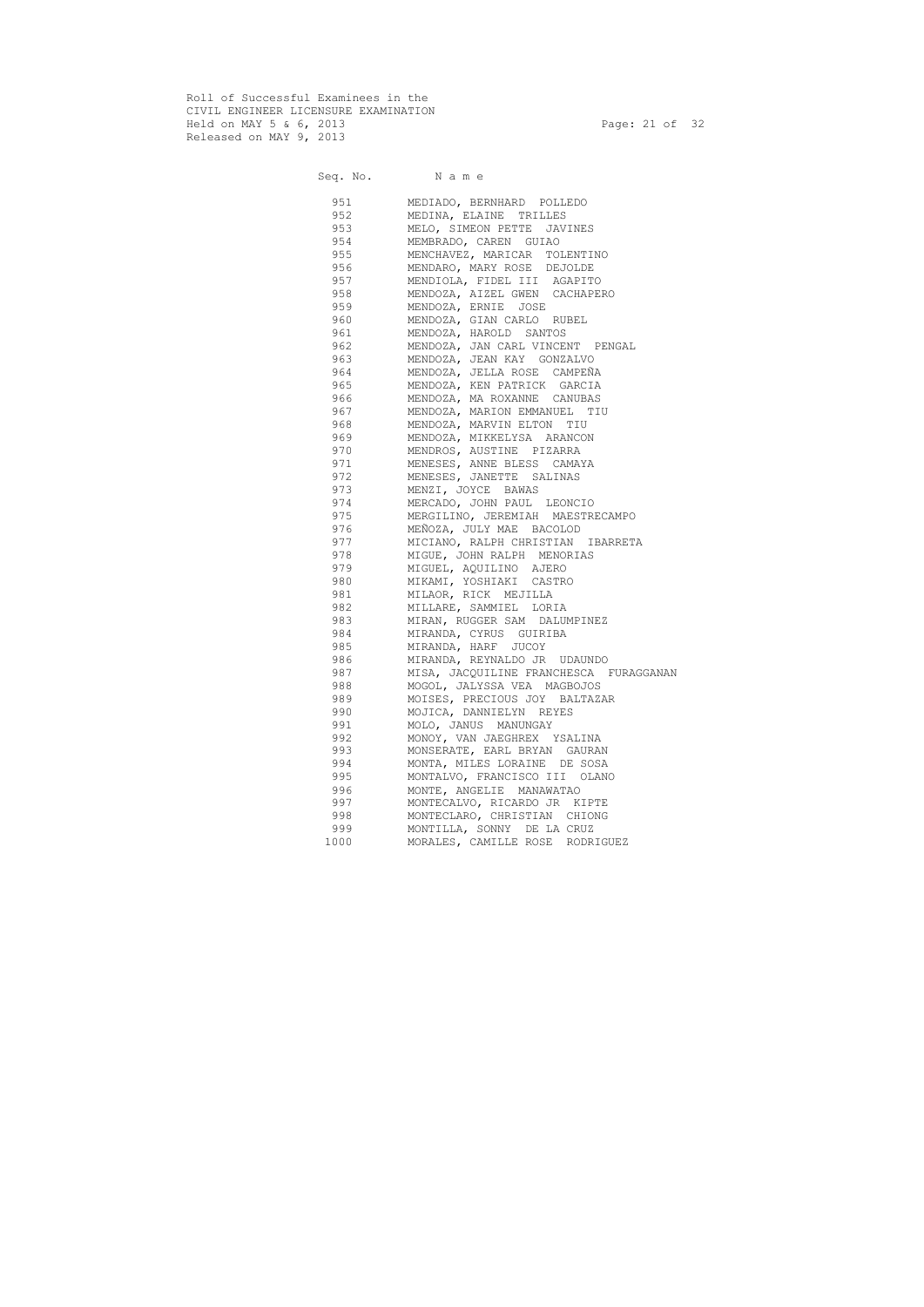Roll of Successful Examinees in the CIVIL ENGINEER LICENSURE EXAMINATION Held on MAY 5 & 6, 2013 Page: 21 of 32 Released on MAY 9, 2013

Seq. No. Name 951 MEDIADO, BERNHARD POLLEDO 952 MEDINA, ELAINE TRILLES 953 MELO, SIMEON PETTE JAVINES<br>954 MEMBRADO, CAREN GUIAO 954 MEMBRADO, CAREN GUIAO 955 MENCHAVEZ, MARICAR TOLENTINO 956 MENDARO, MARY ROSE DEJOLDE 957 MENDIOLA, FIDEL III AGAPITO 958 MENDOZA, AIZEL GWEN CACHAPERO 959 MENDOZA, ERNIE JOSE 960 MENDOZA, GIAN CARLO RUBEL 961 MENDOZA, HAROLD SANTOS 962 MENDOZA, JAN CARL VINCENT PENGAL 963 MENDOZA, JEAN KAY GONZALVO 964 MENDOZA, JELLA ROSE CAMPEÑA 965 MENDOZA, KEN PATRICK GARCIA 966 MENDOZA, MA ROXANNE CANUBAS 967 MENDOZA, MARION EMMANUEL TIU 968 MENDOZA, MARVIN ELTON TIU 969 MENDOZA, MIKKELYSA ARANCON 970 MENDROS, AUSTINE PIZARRA 971 MENESES, ANNE BLESS CAMAYA 972 MENESES, JANETTE SALINAS 973 MENZI, JOYCE BAWAS 974 MERCADO, JOHN PAUL LEONCIO 975 MERGILINO, JEREMIAH MAESTRECAMPO 976 MEÑOZA, JULY MAE BACOLOD 977 MICIANO, RALPH CHRISTIAN IBARRETA 978 MIGUE, JOHN RALPH MENORIAS 979 MIGUEL, AQUILINO AJERO 980 MIKAMI, YOSHIAKI CASTRO 981 MILAOR, RICK MEJILLA 982 MILLARE, SAMMIEL LORIA 983 MIRAN, RUGGER SAM DALUMPINEZ 984 MIRANDA, CYRUS GUIRIBA 985 MIRANDA, HARF JUCOY 986 MIRANDA, REYNALDO JR UDAUNDO 987 MISA, JACQUILINE FRANCHESCA FURAGGANAN 988 MOGOL, JALYSSA VEA MAGBOJOS 989 MOISES, PRECIOUS JOY BALTAZAR 990 MOJICA, DANNIELYN REYES 991 MOLO, JANUS MANUNGAY 992 MONOY, VAN JAEGHREX YSALINA 993 MONSERATE, EARL BRYAN GAURAN 994 MONTA, MILES LORAINE DE SOSA 995 MONTALVO, FRANCISCO III OLANO 996 MONTE, ANGELIE MANAWATAO 997 MONTECALVO, RICARDO JR KIPTE 998 MONTECLARO, CHRISTIAN CHIONG 999 MONTILLA, SONNY DE LA CRUZ 1000 MORALES, CAMILLE ROSE RODRIGUEZ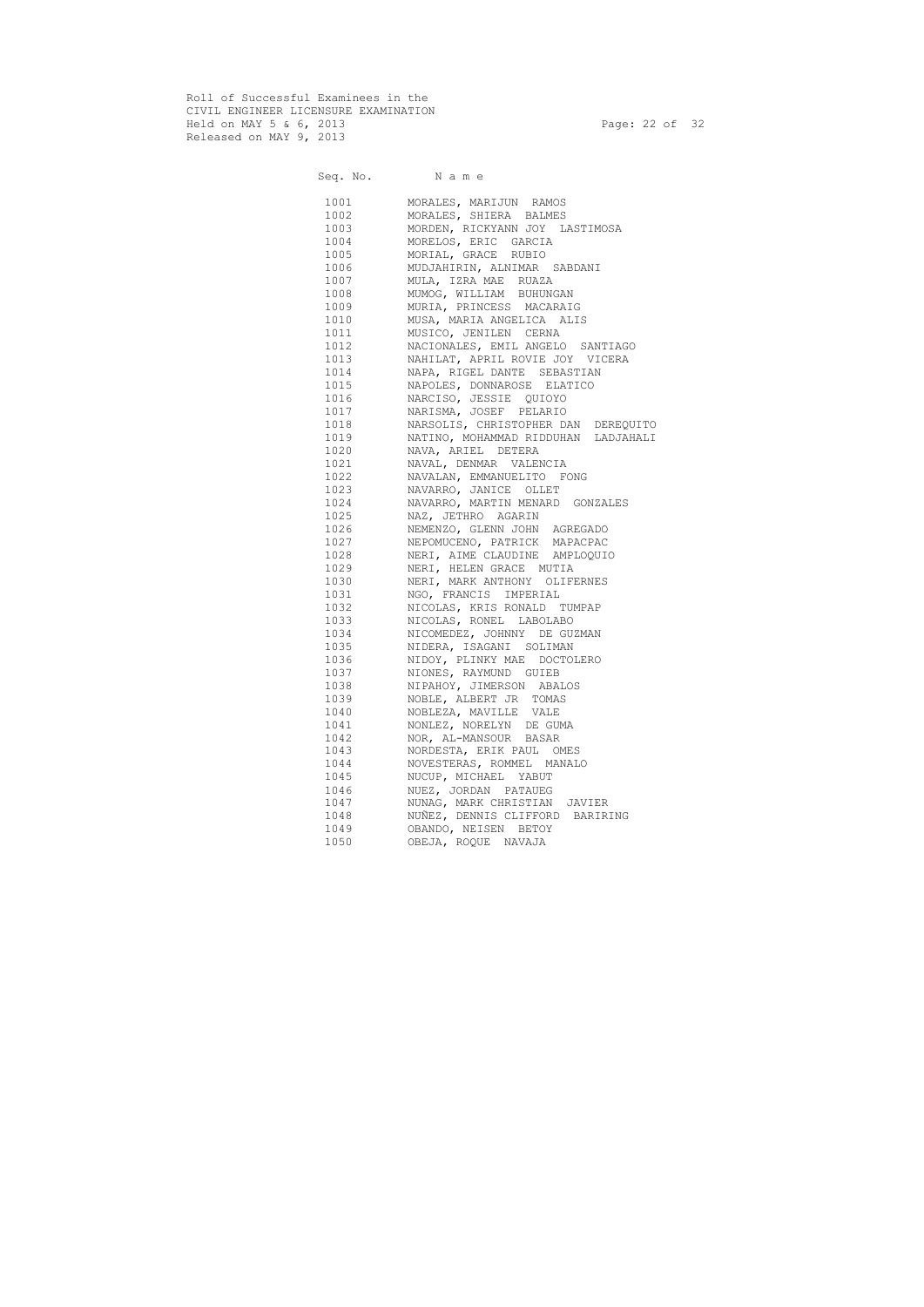Roll of Successful Examinees in the CIVIL ENGINEER LICENSURE EXAMINATION Held on MAY 5 & 6, 2013 Page: 22 of 32 Released on MAY 9, 2013

Seq. No. Name 1001 MORALES, MARIJUN RAMOS 1002 MORALES, SHIERA BALMES 1003 MORDEN, RICKYANN JOY LASTIMOSA 1004 MORELOS, ERIC GARCIA 1005 MORIAL, GRACE RUBIO 1006 MUDJAHIRIN, ALNIMAR SABDANI 1007 MULA, IZRA MAE RUAZA 1008 MUMOG, WILLIAM BUHUNGAN 1009 MURIA, PRINCESS MACARAIG 1010 MUSA, MARIA ANGELICA ALIS 1011 MUSICO, JENILEN CERNA 1012 NACIONALES, EMIL ANGELO SANTIAGO 1013 NAHILAT, APRIL ROVIE JOY VICERA 1014 NAPA, RIGEL DANTE SEBASTIAN 1015 NAPOLES, DONNAROSE ELATICO 1016 NARCISO, JESSIE QUIOYO 1017 NARISMA, JOSEF PELARIO 1018 NARSOLIS, CHRISTOPHER DAN DEREQUITO 1019 NATINO, MOHAMMAD RIDDUHAN LADJAHALI 1020 NAVA, ARIEL DETERA 1021 NAVAL, DENMAR VALENCIA 1022 NAVALAN, EMMANUELITO FONG 1023 NAVARRO, JANICE OLLET 1024 NAVARRO, MARTIN MENARD GONZALES 1025 NAZ, JETHRO AGARIN 1026 NEMENZO, GLENN JOHN AGREGADO 1027 NEPOMUCENO, PATRICK MAPACPAC 1028 NERI, AIME CLAUDINE AMPLOQUIO 1029 NERI, HELEN GRACE MUTIA 1030 NERI, MARK ANTHONY OLIFERNES 1031 NGO, FRANCIS IMPERIAL 1032 NICOLAS, KRIS RONALD TUMPAP 1033 NICOLAS, RONEL LABOLABO 1034 NICOMEDEZ, JOHNNY DE GUZMAN 1035 NIDERA, ISAGANI SOLIMAN 1036 NIDOY, PLINKY MAE DOCTOLERO 1037 NIONES, RAYMUND GUIEB 1038 NIPAHOY, JIMERSON ABALOS 1039 NOBLE, ALBERT JR TOMAS 1040 NOBLEZA, MAVILLE VALE 1041 NONLEZ, NORELYN DE GUMA 1042 NOR, AL-MANSOUR BASAR 1043 NORDESTA, ERIK PAUL OMES 1044 NOVESTERAS, ROMMEL MANALO 1045 NUCUP, MICHAEL YABUT 1046 NUEZ, JORDAN PATAUEG 1047 NUNAG, MARK CHRISTIAN JAVIER 1048 NUÑEZ, DENNIS CLIFFORD BARIRING 1049 OBANDO, NEISEN BETOY 1050 OBEJA, ROQUE NAVAJA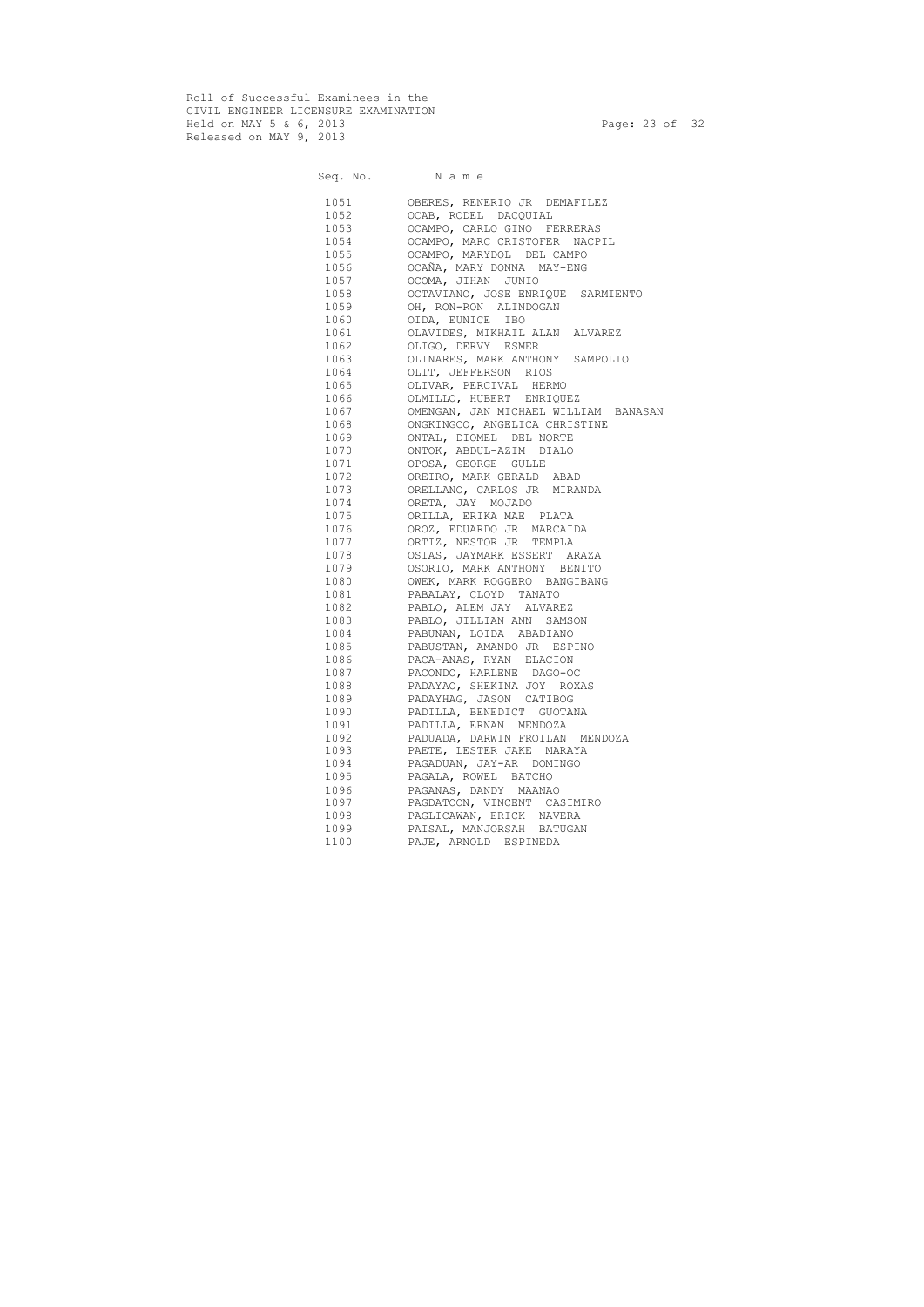Roll of Successful Examinees in the CIVIL ENGINEER LICENSURE EXAMINATION Held on MAY 5 & 6, 2013 Page: 23 of 32 Released on MAY 9, 2013

Seq. No. Name 1051 OBERES, RENERIO JR DEMAFILEZ 1052 OCAB, RODEL DACQUIAL 1053 OCAMPO, CARLO GINO FERRERAS 1054 OCAMPO, MARC CRISTOFER NACPIL 1055 OCAMPO, MARYDOL DEL CAMPO 1056 OCAÑA, MARY DONNA MAY-ENG 1057 OCOMA, JIHAN JUNIO 1058 OCTAVIANO, JOSE ENRIQUE SARMIENTO 1059 OH, RON-RON ALINDOGAN 1060 OIDA, EUNICE IBO 1061 OLAVIDES, MIKHAIL ALAN ALVAREZ 1062 OLIGO, DERVY ESMER 1063 OLINARES, MARK ANTHONY SAMPOLIO 1064 OLIT, JEFFERSON RIOS 1065 OLIVAR, PERCIVAL HERMO 1066 OLMILLO, HUBERT ENRIQUEZ 1067 OMENGAN, JAN MICHAEL WILLIAM BANASAN 1068 ONGKINGCO, ANGELICA CHRISTINE 1069 ONTAL, DIOMEL DEL NORTE 1070 ONTOK, ABDUL-AZIM DIALO 1071 OPOSA, GEORGE GULLE 1072 OREIRO, MARK GERALD ABAD 1073 ORELLANO, CARLOS JR MIRANDA 1074 ORETA, JAY MOJADO 1075 ORILLA, ERIKA MAE PLATA 1076 OROZ, EDUARDO JR MARCAIDA 1077 ORTIZ, NESTOR JR TEMPLA 1078 OSIAS, JAYMARK ESSERT ARAZA 1079 OSORIO, MARK ANTHONY BENITO 1080 OWEK, MARK ROGGERO BANGIBANG 1081 PABALAY, CLOYD TANATO 1082 PABLO, ALEM JAY ALVAREZ 1083 PABLO, JILLIAN ANN SAMSON 1084 PABUNAN, LOIDA ABADIANO 1085 PABUSTAN, AMANDO JR ESPINO 1086 PACA-ANAS, RYAN ELACION 1087 PACONDO, HARLENE DAGO-OC 1088 PADAYAO, SHEKINA JOY ROXAS 1089 PADAYHAG, JASON CATIBOG 1090 PADILLA, BENEDICT GUOTANA 1091 PADILLA, ERNAN MENDOZA 1092 PADUADA, DARWIN FROILAN MENDOZA 1093 PAETE, LESTER JAKE MARAYA 1094 PAGADUAN, JAY-AR DOMINGO 1095 PAGALA, ROWEL BATCHO 1096 PAGANAS, DANDY MAANAO 1097 PAGDATOON, VINCENT CASIMIRO 1098 PAGLICAWAN, ERICK NAVERA 1099 PAISAL, MANJORSAH BATUGAN 1100 PAJE, ARNOLD ESPINEDA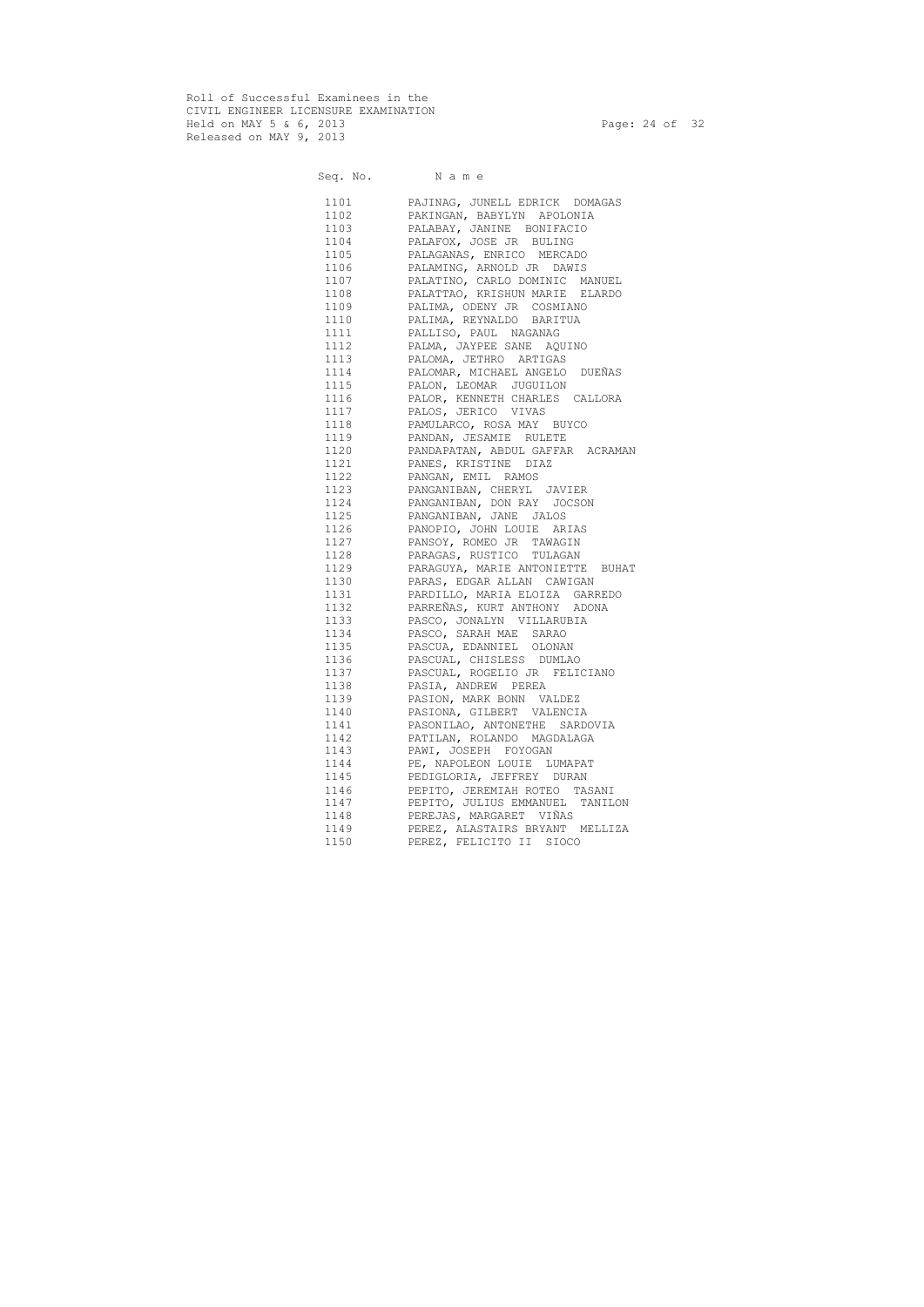Roll of Successful Examinees in the CIVIL ENGINEER LICENSURE EXAMINATION Held on MAY 5 & 6, 2013 Page: 24 of 32 Released on MAY 9, 2013

Seq. No. Name 1101 PAJINAG, JUNELL EDRICK DOMAGAS 1102 PAKINGAN, BABYLYN APOLONIA 1103 PALABAY, JANINE BONIFACIO 1104 PALAFOX, JOSE JR BULING 1105 PALAGANAS, ENRICO MERCADO 1106 PALAMING, ARNOLD JR DAWIS 1107 PALATINO, CARLO DOMINIC MANUEL 1108 PALATTAO, KRISHUN MARIE ELARDO 1109 PALIMA, ODENY JR COSMIANO 1110 PALIMA, REYNALDO BARITUA 1111 PALLISO, PAUL NAGANAG 1112 PALMA, JAYPEE SANE AQUINO 1113 PALOMA, JETHRO ARTIGAS 1114 PALOMAR, MICHAEL ANGELO DUEÑAS 1115 PALON, LEOMAR JUGUILON 1116 PALOR, KENNETH CHARLES CALLORA 1117 PALOS, JERICO VIVAS 1118 PAMULARCO, ROSA MAY BUYCO 1119 PANDAN, JESAMIE RULETE 1120 PANDAPATAN, ABDUL GAFFAR ACRAMAN 1121 PANES, KRISTINE DIAZ 1122 PANGAN, EMIL RAMOS 1123 PANGANIBAN, CHERYL JAVIER 1124 PANGANIBAN, DON RAY JOCSON 1125 PANGANIBAN, JANE JALOS 1126 PANOPIO, JOHN LOUIE ARIAS 1127 PANSOY, ROMEO JR TAWAGIN 1128 PARAGAS, RUSTICO TULAGAN 1129 PARAGUYA, MARIE ANTONIETTE BUHAT 1130 PARAS, EDGAR ALLAN CAWIGAN 1131 PARDILLO, MARIA ELOIZA GARREDO 1132 PARREÑAS, KURT ANTHONY ADONA 1133 PASCO, JONALYN VILLARUBIA 1134 PASCO, SARAH MAE SARAO 1135 PASCUA, EDANNIEL OLONAN 1136 PASCUAL, CHISLESS DUMLAO 1137 PASCUAL, ROGELIO JR FELICIANO 1138 PASIA, ANDREW PEREA 1139 PASION, MARK BONN VALDEZ 1140 PASIONA, GILBERT VALENCIA 1141 PASONILAO, ANTONETHE SARDOVIA 1142 PATILAN, ROLANDO MAGDALAGA 1143 PAWI, JOSEPH FOYOGAN 1144 PE, NAPOLEON LOUIE LUMAPAT 1145 PEDIGLORIA, JEFFREY DURAN 1146 PEPITO, JEREMIAH ROTEO TASANI 1147 PEPITO, JULIUS EMMANUEL TANILON 1148 PEREJAS, MARGARET VIÑAS 1149 PEREZ, ALASTAIRS BRYANT MELLIZA 1150 PEREZ, FELICITO II SIOCO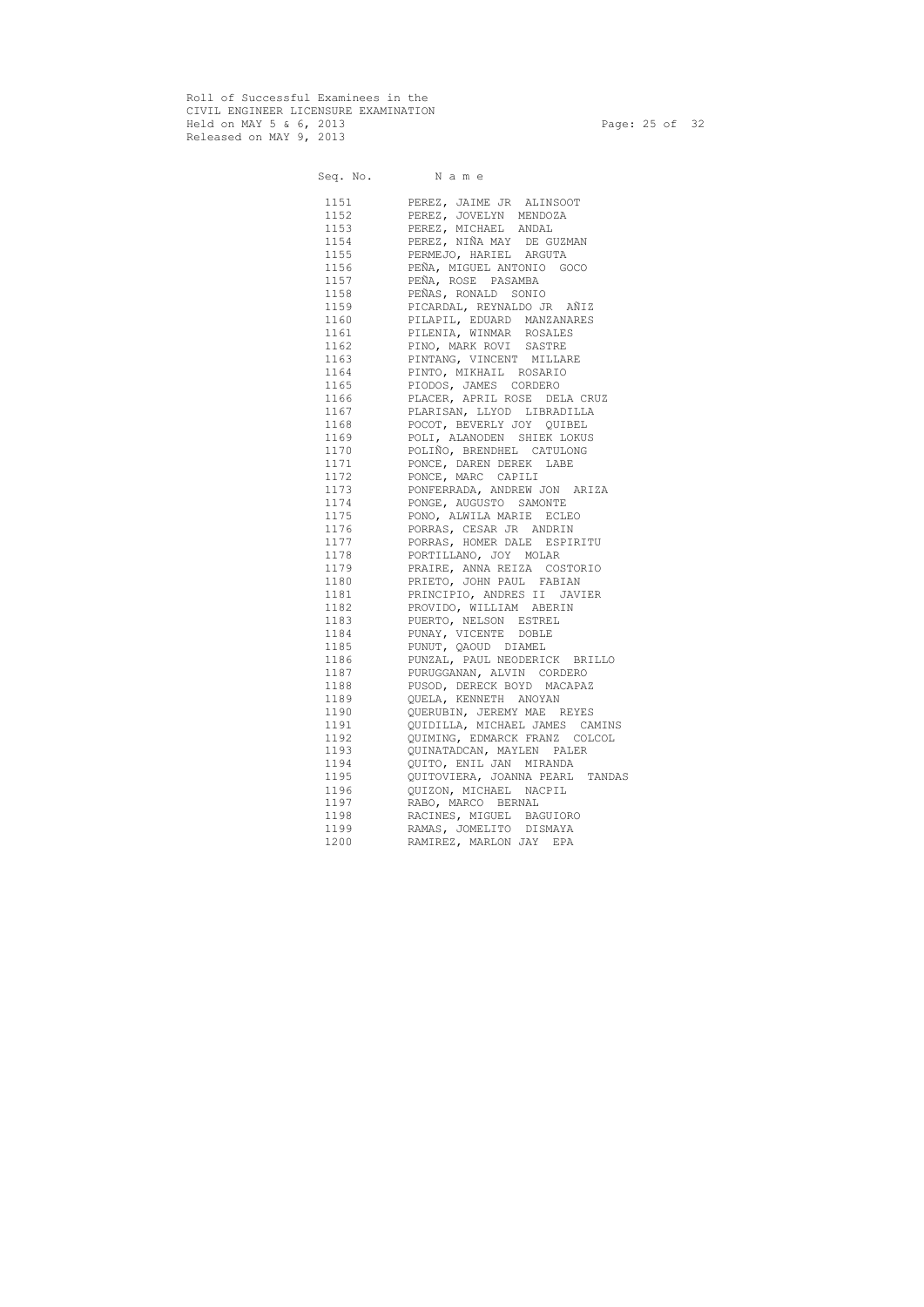Roll of Successful Examinees in the CIVIL ENGINEER LICENSURE EXAMINATION Held on MAY 5 & 6, 2013 Page: 25 of 32 Released on MAY 9, 2013

Seq. No. Name

| 1151    | PEREZ, JAIME JR ALINSOOT           |
|---------|------------------------------------|
| 1152    | PEREZ, JOVELYN MENDOZA             |
| 1153    | PEREZ, MICHAEL ANDAL               |
| 1154    | PEREZ, NIÑA MAY DE GUZMAN          |
| 1155    | PERMEJO, HARIEL ARGUTA             |
| 1156    | PEÑA, MIGUEL ANTONIO GOCO          |
| 1157    | PEÑA, ROSE PASAMBA                 |
| 1158    | PEÑAS, RONALD SONIO                |
| 1159    | PICARDAL, REYNALDO JR AÑIZ         |
| 1160    | PILAPIL, EDUARD MANZANARES         |
| 1161    | PILENIA, WINMAR ROSALES            |
| 1162    | PINO, MARK ROVI SASTRE             |
| 1163    | PINTANG, VINCENT MILLARE           |
| 1164    | PINTO, MIKHAIL ROSARIO             |
| 1165    | PIODOS, JAMES CORDERO              |
| 1166 11 | PLACER, APRIL ROSE DELA CRUZ       |
|         | 1167 PLARISAN, LLYOD LIBRADILLA    |
| 1168 11 | POCOT, BEVERLY JOY QUIBEL          |
| 1169 11 | POLI, ALANODEN SHIEK LOKUS         |
| 1170    | POLIÑO, BRENDHEL CATULONG          |
| 1171    | PONCE, DAREN DEREK LABE            |
| 1172    | PONCE, MARC CAPILI                 |
|         | 1173 PONFERRADA, ANDREW JON ARIZA  |
|         | 1174 PONGE, AUGUSTO SAMONTE        |
| 1175    | PONO, ALWILA MARIE ECLEO           |
| 1176    | PORRAS, CESAR JR ANDRIN            |
| 1177    | PORRAS, HOMER DALE ESPIRITU        |
| 1178    | PORTILLANO, JOY MOLAR              |
| 1179    | PRAIRE, ANNA REIZA COSTORIO        |
| 1180    | PRIETO, JOHN PAUL FABIAN           |
| 1181    | PRINCIPIO, ANDRES II JAVIER        |
| 1182    | PROVIDO, WILLIAM ABERIN            |
| 1183    | PUERTO, NELSON ESTREL              |
| 1184    | PUNAY, VICENTE DOBLE               |
|         | 1185 PUNUT, QAOUD DIAMEL           |
| 1186    | PUNZAL, PAUL NEODERICK BRILLO      |
| 1187    | PURUGGANAN, ALVIN CORDERO          |
| 1188    |                                    |
| 1189    | PUSOD, DERECK BOYD MACAPAZ         |
|         | QUELA, KENNETH ANOYAN              |
| 1190    | QUERUBIN, JEREMY MAE REYES         |
| 1191    | QUIDILLA, MICHAEL JAMES CAMINS     |
| 1192    | QUIMING, EDMARCK FRANZ COLCOL      |
| 1193    | QUINATADCAN, MAYLEN PALER          |
| 1194    | QUITO, ENIL JAN MIRANDA            |
| 1195    | QUITOVIERA, JOANNA PEARL<br>TANDAS |
| 1196    | OUIZON, MICHAEL NACPIL             |
| 1197    | RABO, MARCO BERNAL                 |
| 1198    | RACINES, MIGUEL BAGUIORO           |
| 1199    | RAMAS, JOMELITO DISMAYA            |
| 1200    | RAMIREZ, MARLON JAY EPA            |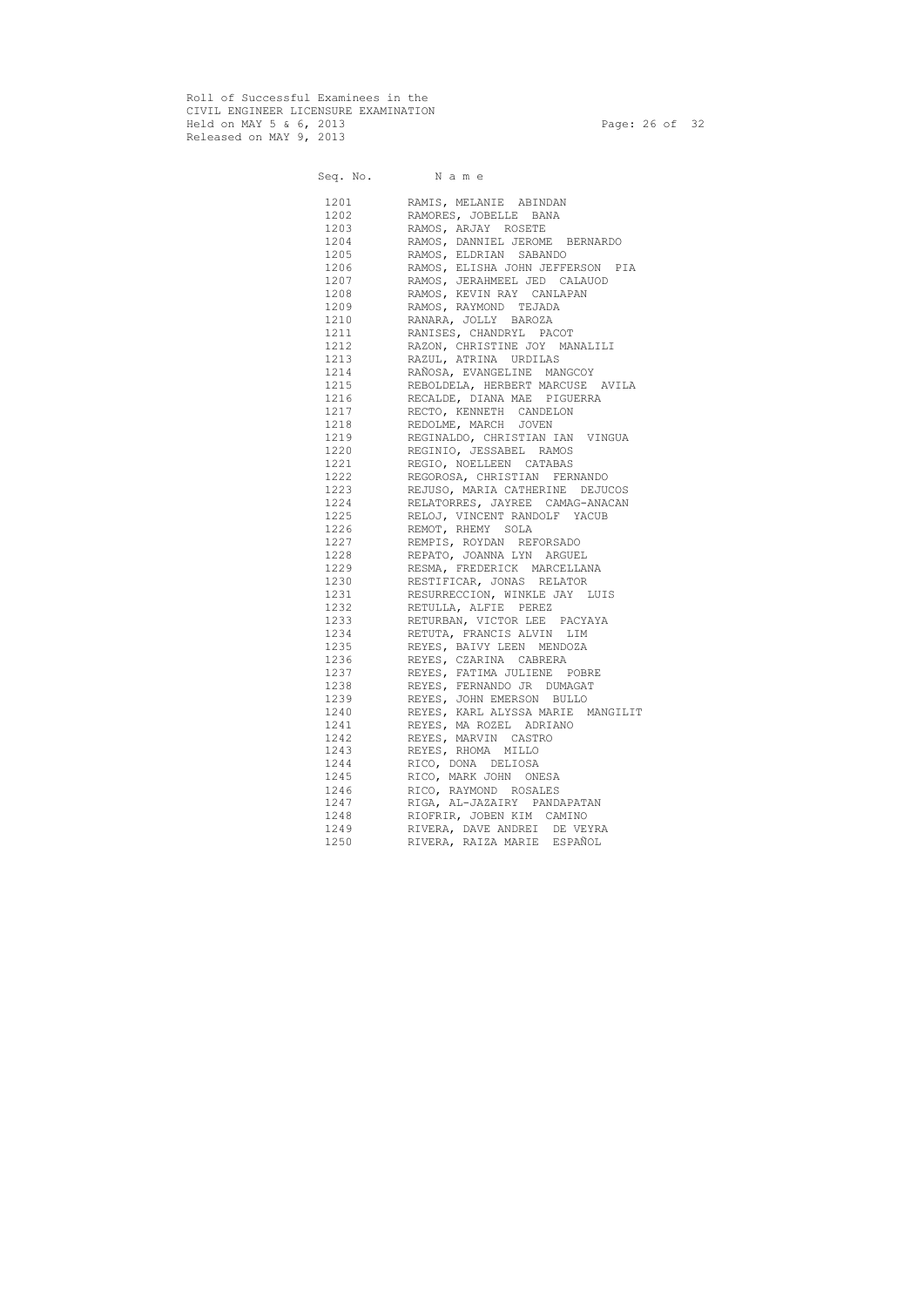Roll of Successful Examinees in the CIVIL ENGINEER LICENSURE EXAMINATION Held on MAY 5 & 6, 2013 Page: 26 of 32 Released on MAY 9, 2013

Seq. No. Name 1201 RAMIS, MELANIE ABINDAN 1202 RAMORES, JOBELLE BANA 1203 RAMOS, ARJAY ROSETE 1204 RAMOS, DANNIEL JEROME BERNARDO 1205 RAMOS, ELDRIAN SABANDO 1206 RAMOS, ELISHA JOHN JEFFERSON PIA 1207 RAMOS, JERAHMEEL JED CALAUOD 1208 RAMOS, KEVIN RAY CANLAPAN 1209 RAMOS, RAYMOND TEJADA 1210 RANARA, JOLLY BAROZA 1211 RANISES, CHANDRYL PACOT 1212 RAZON, CHRISTINE JOY MANALILI 1213 RAZUL, ATRINA URDILAS 1214 RAÑOSA, EVANGELINE MANGCOY 1215 REBOLDELA, HERBERT MARCUSE AVILA 1216 RECALDE, DIANA MAE PIGUERRA 1217 RECTO, KENNETH CANDELON 1218 REDOLME, MARCH JOVEN 1219 REGINALDO, CHRISTIAN IAN VINGUA 1220 REGINIO, JESSABEL RAMOS 1221 REGIO, NOELLEEN CATABAS 1222 REGOROSA, CHRISTIAN FERNANDO 1223 REJUSO, MARIA CATHERINE DEJUCOS 1224 RELATORRES, JAYREE CAMAG-ANACAN 1225 RELOJ, VINCENT RANDOLF YACUB 1226 REMOT, RHEMY SOLA 1227 REMPIS, ROYDAN REFORSADO 1228 REPATO, JOANNA LYN ARGUEL 1229 RESMA, FREDERICK MARCELLANA 1230 RESTIFICAR, JONAS RELATOR 1231 RESURRECCION, WINKLE JAY LUIS 1232 RETULLA, ALFIE PEREZ 1233 RETURBAN, VICTOR LEE PACYAYA 1234 RETUTA, FRANCIS ALVIN LIM 1235 REYES, BAIVY LEEN MENDOZA 1236 REYES, CZARINA CABRERA 1237 REYES, FATIMA JULIENE POBRE 1238 REYES, FERNANDO JR DUMAGAT 1239 REYES, JOHN EMERSON BULLO 1240 REYES, KARL ALYSSA MARIE MANGILIT 1241 REYES, MA ROZEL ADRIANO 1242 REYES, MARVIN CASTRO 1243 REYES, RHOMA MILLO 1244 RICO, DONA DELIOSA 1245 RICO, MARK JOHN ONESA 1246 RICO, RAYMOND ROSALES 1247 RIGA, AL-JAZAIRY PANDAPATAN 1248 RIOFRIR, JOBEN KIM CAMINO 1249 RIVERA, DAVE ANDREI DE VEYRA 1250 RIVERA, RAIZA MARIE ESPAÑOL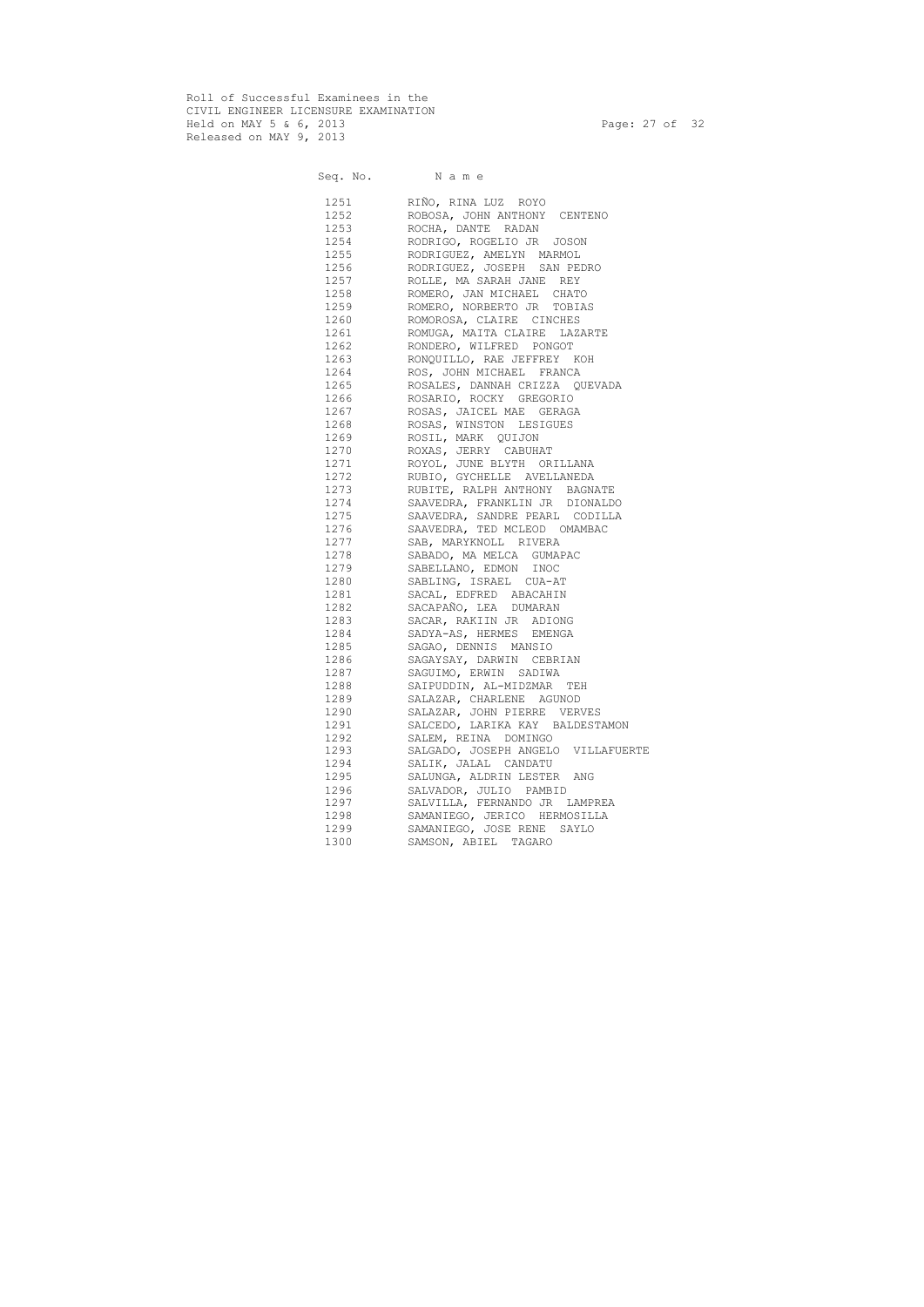Roll of Successful Examinees in the CIVIL ENGINEER LICENSURE EXAMINATION Held on MAY 5 & 6, 2013 Page: 27 of 32 Released on MAY 9, 2013

Seq. No. Name 1251 RIÑO, RINA LUZ ROYO 1252 ROBOSA, JOHN ANTHONY CENTENO 1253 ROCHA, DANTE RADAN 1254 RODRIGO, ROGELIO JR JOSON 1255 RODRIGUEZ, AMELYN MARMOL 1256 RODRIGUEZ, JOSEPH SAN PEDRO 1257 ROLLE, MA SARAH JANE REY 1258 ROMERO, JAN MICHAEL CHATO 1259 ROMERO, NORBERTO JR TOBIAS 1260 ROMOROSA, CLAIRE CINCHES 1261 ROMUGA, MAITA CLAIRE LAZARTE 1262 RONDERO, WILFRED PONGOT 1263 RONQUILLO, RAE JEFFREY KOH 1264 ROS, JOHN MICHAEL FRANCA 1265 ROSALES, DANNAH CRIZZA QUEVADA 1266 ROSARIO, ROCKY GREGORIO 1267 ROSAS, JAICEL MAE GERAGA 1268 ROSAS, WINSTON LESIGUES 1269 ROSIL, MARK QUIJON 1270 ROXAS, JERRY CABUHAT 1271 ROYOL, JUNE BLYTH ORILLANA 1272 RUBIO, GYCHELLE AVELLANEDA 1273 RUBITE, RALPH ANTHONY BAGNATE 1274 SAAVEDRA, FRANKLIN JR DIONALDO 1275 SAAVEDRA, SANDRE PEARL CODILLA 1276 SAAVEDRA, TED MCLEOD OMAMBAC 1277 SAB, MARYKNOLL RIVERA 1278 SABADO, MA MELCA GUMAPAC 1279 SABELLANO, EDMON INOC 1280 SABLING, ISRAEL CUA-AT 1281 SACAL, EDFRED ABACAHIN 1282 SACAPAÑO, LEA DUMARAN 1283 SACAR, RAKIIN JR ADIONG 1284 SADYA-AS, HERMES EMENGA 1285 SAGAO, DENNIS MANSIO 1286 SAGAYSAY, DARWIN CEBRIAN 1287 SAGUIMO, ERWIN SADIWA 1288 SAIPUDDIN, AL-MIDZMAR TEH 1289 SALAZAR, CHARLENE AGUNOD 1290 SALAZAR, JOHN PIERRE VERVES 1291 SALCEDO, LARIKA KAY BALDESTAMON 1292 SALEM, REINA DOMINGO 1293 SALGADO, JOSEPH ANGELO VILLAFUERTE 1294 SALIK, JALAL CANDATU 1295 SALUNGA, ALDRIN LESTER ANG 1296 SALVADOR, JULIO PAMBID 1297 SALVILLA, FERNANDO JR LAMPREA 1298 SAMANIEGO, JERICO HERMOSILLA 1299 SAMANIEGO, JOSE RENE SAYLO 1300 SAMSON, ABIEL TAGARO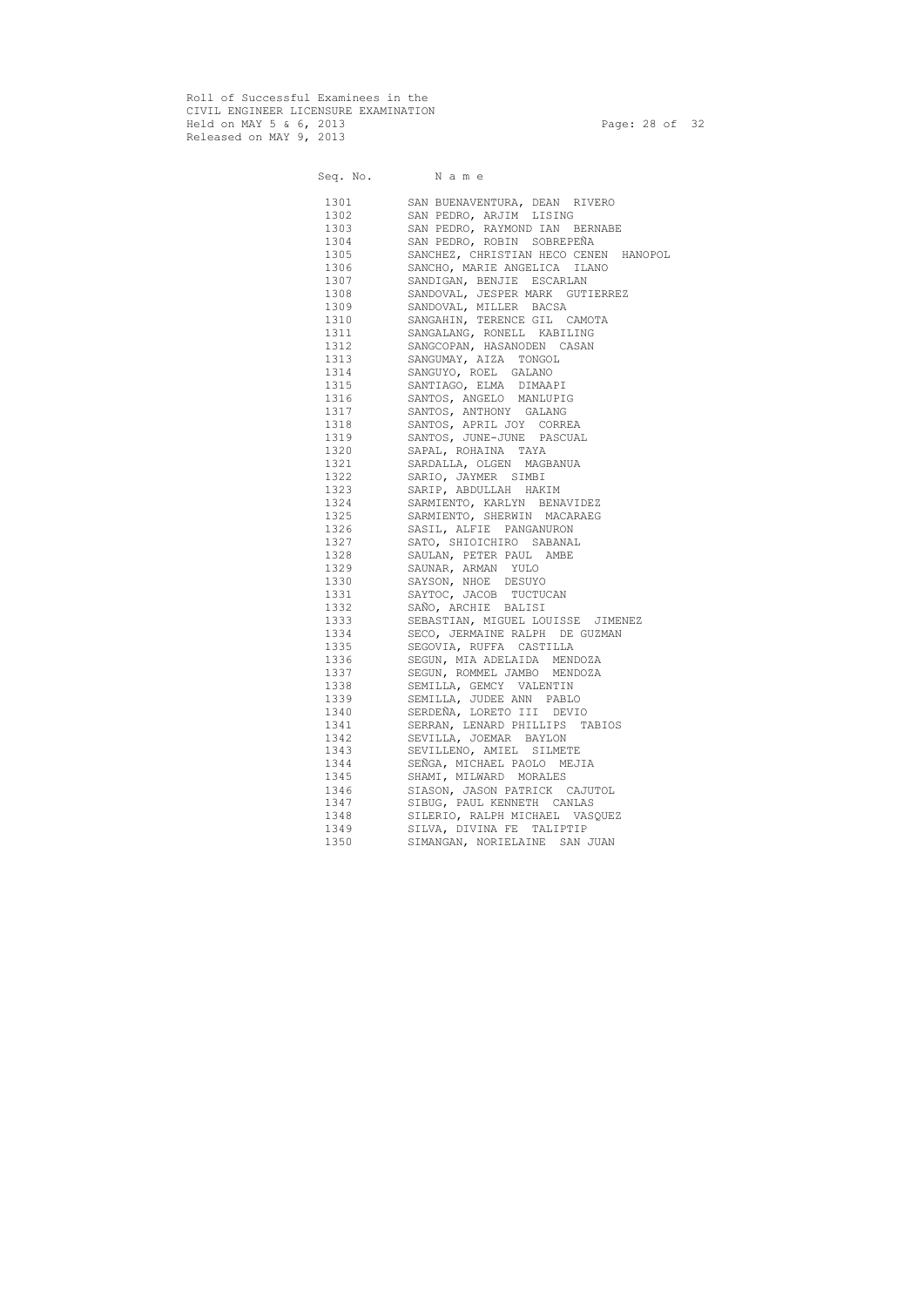Roll of Successful Examinees in the CIVIL ENGINEER LICENSURE EXAMINATION Held on MAY 5 & 6, 2013 Page: 28 of 32 Released on MAY 9, 2013

|      | Seq. No. Name                         |
|------|---------------------------------------|
|      | 1301 SAN BUENAVENTURA, DEAN RIVERO    |
| 1302 | SAN PEDRO, ARJIM LISING               |
| 1303 | SAN PEDRO, RAYMOND IAN BERNABE        |
| 1304 | SAN PEDRO, ROBIN SOBREPEÑA            |
| 1305 | SANCHEZ, CHRISTIAN HECO CENEN HANOPOL |
| 1306 | SANCHO, MARIE ANGELICA ILANO          |
| 1307 | SANDIGAN, BENJIE ESCARLAN             |
| 1308 | SANDOVAL, JESPER MARK GUTIERREZ       |
| 1309 | SANDOVAL, MILLER BACSA                |
| 1310 | SANGAHIN, TERENCE GIL CAMOTA          |
| 1311 | SANGALANG, RONELL KABILING            |
| 1312 | SANGCOPAN, HASANODEN CASAN            |
| 1313 | SANGUMAY, AIZA TONGOL                 |
| 1314 | SANGUYO, ROEL GALANO                  |
| 1315 | SANTIAGO, ELMA DIMAAPI                |
| 1316 | SANTOS, ANGELO MANLUPIG               |
| 1317 | SANTOS, ANTHONY GALANG                |
| 1318 | SANTOS, APRIL JOY CORREA              |
| 1319 | SANTOS, JUNE-JUNE PASCUAL             |
| 1320 | SAPAL, ROHAINA TAYA                   |
| 1321 | SARDALLA, OLGEN MAGBANUA              |
| 1322 | SARIO, JAYMER SIMBI                   |
| 1323 | SARIP, ABDULLAH HAKIM                 |
| 1324 | SARMIENTO, KARLYN BENAVIDEZ           |
| 1325 | SARMIENTO, SHERWIN MACARAEG           |
| 1326 | SASIL, ALFIE PANGANURON               |
| 1327 | SATO, SHIOICHIRO SABANAL              |
| 1328 | SAULAN, PETER PAUL AMBE               |
| 1329 | SAUNAR, ARMAN YULO                    |
| 1330 | SAYSON, NHOE DESUYO                   |
| 1331 | SAYTOC, JACOB TUCTUCAN                |
| 1332 | SAÑO, ARCHIE BALISI                   |
| 1333 | SEBASTIAN, MIGUEL LOUISSE JIMENEZ     |
| 1334 | SECO, JERMAINE RALPH DE GUZMAN        |
| 1335 | SEGOVIA, RUFFA CASTILLA               |
| 1336 | SEGUN, MIA ADELAIDA MENDOZA           |
| 1337 | SEGUN, ROMMEL JAMBO MENDOZA           |
| 1338 | SEMILLA, GEMCY VALENTIN               |
| 1339 | SEMILLA, JUDEE ANN PABLO              |
| 1340 | SERDEÑA, LORETO III DEVIO             |
| 1341 | SERRAN, LENARD PHILLIPS TABIOS        |
| 1342 | SEVILLA, JOEMAR BAYLON                |
| 1343 | SEVILLENO, AMIEL SILMETE              |
| 1344 | SEÑGA, MICHAEL PAOLO MEJIA            |
| 1345 | SHAMI, MILWARD MORALES                |
| 1346 | SIASON, JASON PATRICK CAJUTOL         |
| 1347 | SIBUG, PAUL KENNETH CANLAS            |
| 1348 | SILERIO, RALPH MICHAEL VASQUEZ        |
| 1349 | SILVA, DIVINA FE TALIPTIP             |
| 1350 | SIMANGAN, NORIELAINE<br>SAN JUAN      |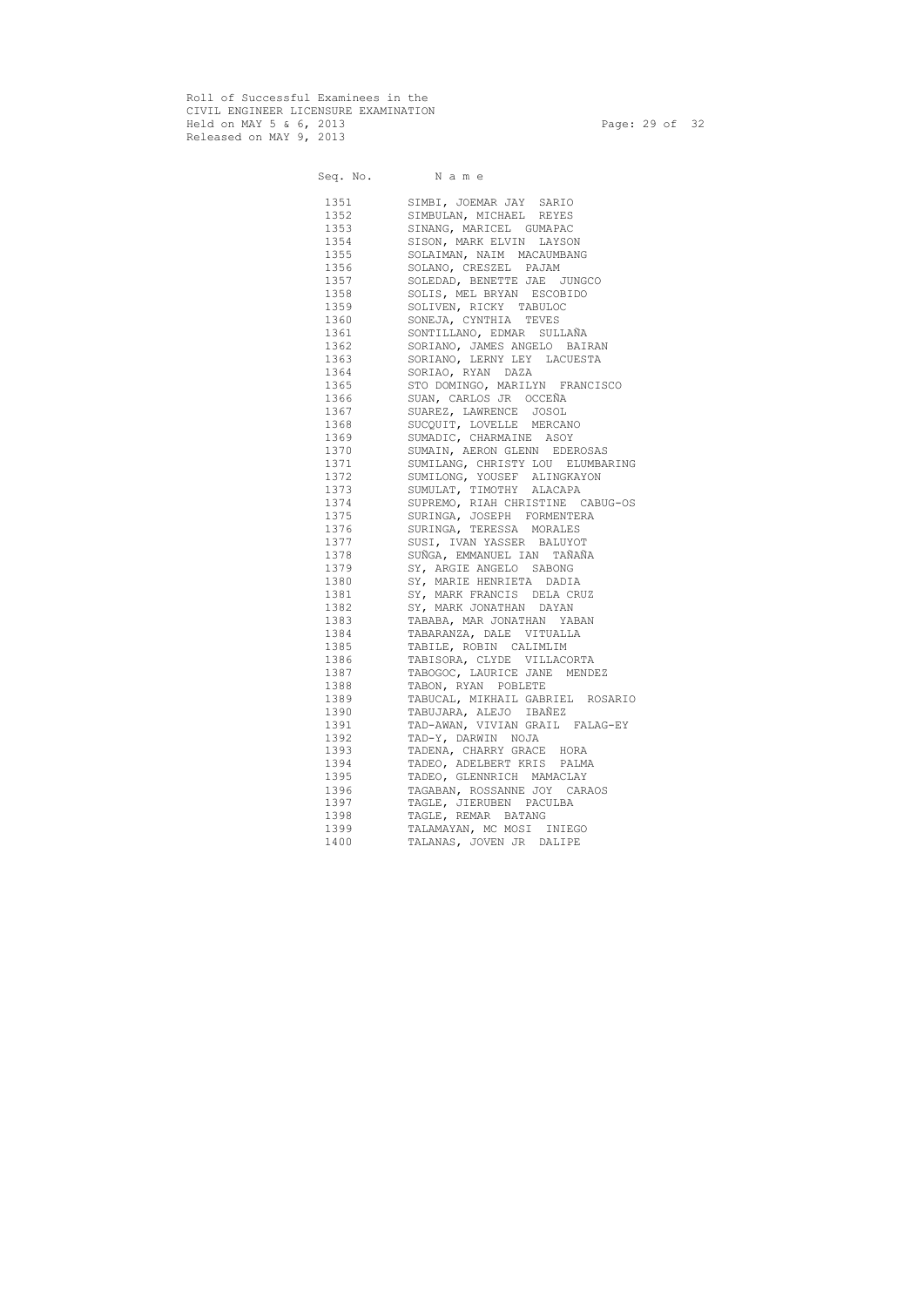Roll of Successful Examinees in the CIVIL ENGINEER LICENSURE EXAMINATION Held on MAY 5 & 6, 2013 Page: 29 of 32 Released on MAY 9, 2013

|          | Seq. No. Name                    |
|----------|----------------------------------|
|          | SIMBI, JOEMAR JAY SARIO          |
| 1352     | SIMBULAN, MICHAEL REYES          |
| 1353     | SINANG, MARICEL GUMAPAC          |
| 1354     | SISON, MARK ELVIN LAYSON         |
| 1355     | SOLAIMAN, NAIM MACAUMBANG        |
| 1356     | SOLANO, CRESZEL PAJAM            |
| 1357     | SOLEDAD, BENETTE JAE JUNGCO      |
| 1358     | SOLIS, MEL BRYAN ESCOBIDO        |
| 1359     | SOLIVEN, RICKY TABULOC           |
| 1360     | SONEJA, CYNTHIA TEVES            |
| 1361     | SONTILLANO, EDMAR SULLAÑA        |
| 1362     | SORIANO, JAMES ANGELO BAIRAN     |
| 1363     | SORIANO, LERNY LEY LACUESTA      |
| 1364     | SORIAO, RYAN DAZA                |
| 1365     | STO DOMINGO, MARILYN FRANCISCO   |
| 1366     | SUAN, CARLOS JR OCCEÑA           |
| 1367     | SUAREZ, LAWRENCE JOSOL           |
| 1368     | SUCQUIT, LOVELLE MERCANO         |
| 1369     | SUMADIC, CHARMAINE ASOY          |
| 1370     | SUMAIN, AERON GLENN EDEROSAS     |
| 1371     | SUMILANG, CHRISTY LOU ELUMBARING |
| 1372     | SUMILONG, YOUSEF ALINGKAYON      |
| 1373     | SUMULAT, TIMOTHY ALACAPA         |
| 1374     | SUPREMO, RIAH CHRISTINE CABUG-OS |
| 1375     | SURINGA, JOSEPH FORMENTERA       |
| 1376     | SURINGA, TERESSA MORALES         |
| 1377     | SUSI, IVAN YASSER BALUYOT        |
| 1378     | SUÑGA, EMMANUEL IAN TAÑAÑA       |
| 1379     | SY, ARGIE ANGELO SABONG          |
| 1380     | SY, MARIE HENRIETA DADIA         |
| 1381     | SY, MARK FRANCIS DELA CRUZ       |
| 1382     | SY, MARK JONATHAN DAYAN          |
|          | TABABA, MAR JONATHAN YABAN       |
| 1384     | TABARANZA, DALE VITUALLA         |
| 1385     | TABILE, ROBIN CALIMLIM           |
| 1386 139 | TABISORA, CLYDE VILLACORTA       |
| 1387     | TABOGOC, LAURICE JANE MENDEZ     |
| 1388     | TABON, RYAN POBLETE              |
| 1389     | TABUCAL, MIKHAIL GABRIEL ROSARIO |
| 1390     | TABUJARA, ALEJO IBAÑEZ           |
| 1391     | TAD-AWAN, VIVIAN GRAIL FALAG-EY  |
| 1392     | TAD-Y, DARWIN NOJA               |
| 1393     | TADENA, CHARRY GRACE HORA        |
| 1394     | TADEO, ADELBERT KRIS PALMA       |
| 1395     | TADEO, GLENNRICH MAMACLAY        |
| 1396     | TAGABAN, ROSSANNE JOY CARAOS     |
| 1397     | TAGLE, JIERUBEN PACULBA          |
| 1398     | TAGLE, REMAR BATANG              |
| 1399     | TALAMAYAN, MC MOSI INIEGO        |
| 1400     | TALANAS, JOVEN JR DALIPE         |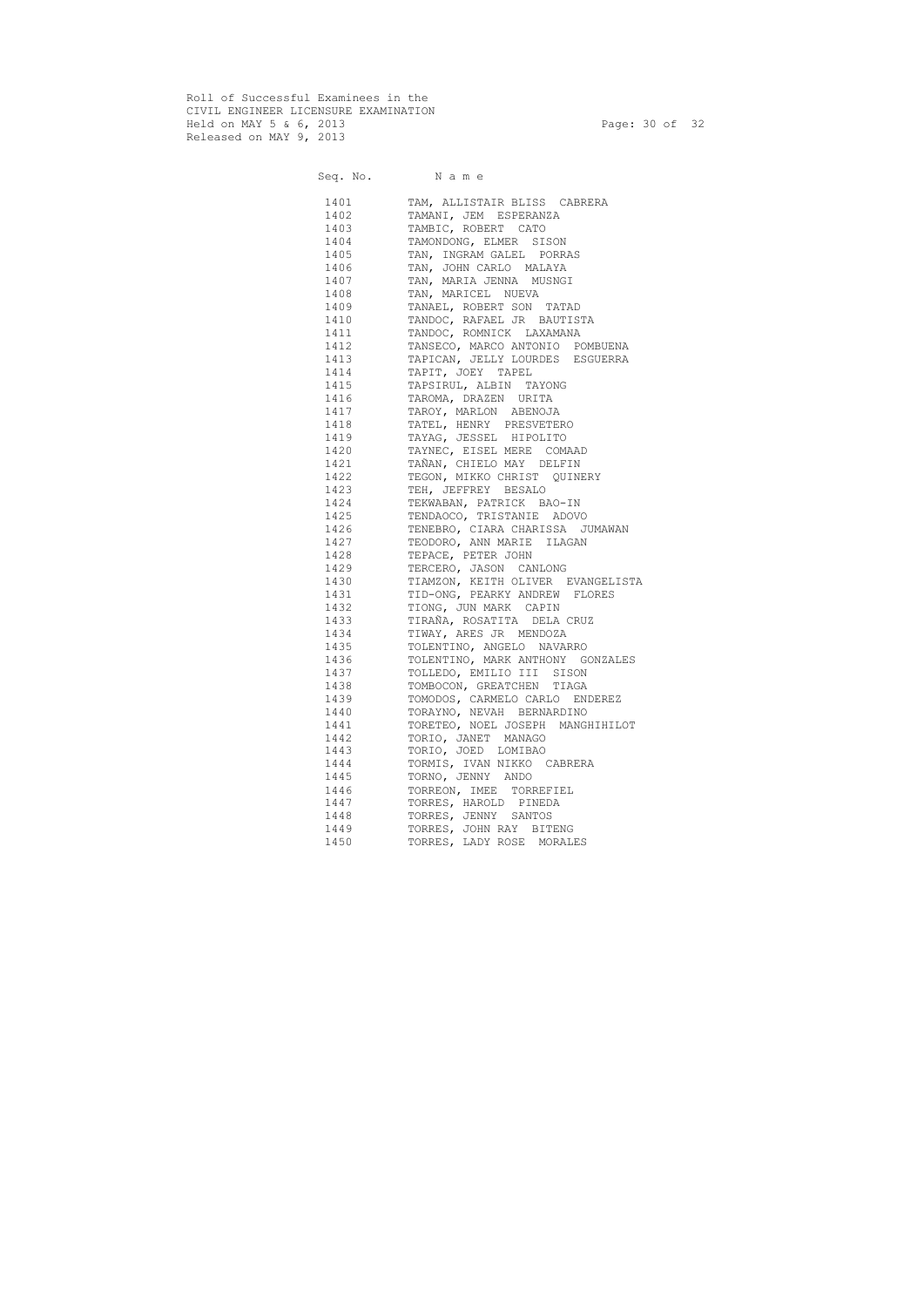Roll of Successful Examinees in the CIVIL ENGINEER LICENSURE EXAMINATION Held on MAY 5 & 6, 2013 Page: 30 of 32 Released on MAY 9, 2013

Seq. No. N a m e

|      | bey.no. Name                                                                                                           |
|------|------------------------------------------------------------------------------------------------------------------------|
|      | 1401 TAM, ALLISTAIR BLISS CABRERA                                                                                      |
| 1402 | TAMANI, JEM ESPERANZA                                                                                                  |
| 1403 | TAMBIC, ROBERT CATO                                                                                                    |
| 1404 | TAMONDONG, ELMER SISON                                                                                                 |
| 1405 | TAN, INGRAM GALEL PORRAS                                                                                               |
| 1406 |                                                                                                                        |
| 1407 | TAN, JOHN CARLO MALAYA<br>TAN, MARIA JENNA MUSNGI<br>TAN, MARIATI MUTITI                                               |
| 1408 | INUSICI<br>INARICEL NUEVA<br>TANAEL, ROBERT SON TATAD<br>TANDOC, RAFAEL JR BAUTISTA<br>TANDOC, ROMNICK LAXAMANATANSECO |
| 1409 |                                                                                                                        |
| 1410 |                                                                                                                        |
| 1411 |                                                                                                                        |
| 1412 | TANSECO, MARCO ANTONIO POMBUENA                                                                                        |
| 1413 | TAPICAN, JELLY LOURDES ESGUERRA                                                                                        |
| 1414 | TAPIT, JOEY TAPEL                                                                                                      |
| 1415 | TAPSIRUL, ALBIN TAYONG                                                                                                 |
| 1416 | TAROMA, DRAZEN URITA                                                                                                   |
| 1417 | TAROY, MARLON ABENOJA                                                                                                  |
| 1418 | TATEL, HENRY PRESVETERO                                                                                                |
|      | 1419 TAYAG, JESSEL HIPOLITO                                                                                            |
|      | 1420 TAYNEC, EISEL MERE COMAAD                                                                                         |
| 1421 | TAÑAN, CHIELO MAY DELFIN                                                                                               |
| 1422 | TEGON, MIKKO CHRIST QUINERY                                                                                            |
| 1423 | TEH, JEFFREY BESALO                                                                                                    |
|      | 1424 TEKWABAN, PATRICK BAO-IN                                                                                          |
|      | 1425 TENDAOCO, TRISTANIE ADOVO                                                                                         |
| 1426 | TENEBRO, CIARA CHARISSA JUMAWAN                                                                                        |
| 1427 | TEODORO, ANN MARIE ILAGAN                                                                                              |
| 1428 | TEPACE, PETER JOHN                                                                                                     |
|      | 1429 TERCERO, JASON CANLONG                                                                                            |
|      | 1430 TIAMZON, KEITH OLIVER EVANGELISTA                                                                                 |
|      | 1431 TID-ONG, PEARKY ANDREW FLORES                                                                                     |
|      | 1432 TIONG, JUN MARK CAPIN                                                                                             |
|      | TIRAÑA, ROSATITA DELA CRUZ                                                                                             |
|      | 1434 TIWAY, ARES JR MENDOZA                                                                                            |
|      | 1435 TOLENTINO, ANGELO NAVARRO                                                                                         |
| 1436 | TOLENTINO, MARK ANTHONY GONZALES                                                                                       |
| 1437 | TOLLEDO, EMILIO III SISON                                                                                              |
| 1438 | TOMBOCON, GREATCHEN TIAGA                                                                                              |
| 1439 | TOMODOS, CARMELO CARLO ENDEREZ                                                                                         |
| 1440 | TORAYNO, NEVAH BERNARDINO                                                                                              |
| 1441 | TORETEO, NOEL JOSEPH MANGHIHILOT                                                                                       |
| 1442 | TORIO, JANET MANAGO                                                                                                    |
| 1443 | TORIO, JOED LOMIBAO                                                                                                    |
| 1444 | TORMIS, IVAN NIKKO CABRERA                                                                                             |
| 1445 | TORNO, JENNY ANDO                                                                                                      |
| 1446 | TORREON, IMEE TORREFIEL                                                                                                |
| 1447 | TORRES, HAROLD PINEDA                                                                                                  |
| 1448 | TORRES, JENNY SANTOS                                                                                                   |
| 1449 | TORRES, JOHN RAY BITENG                                                                                                |
| 1450 | TORRES, LADY ROSE MORALES                                                                                              |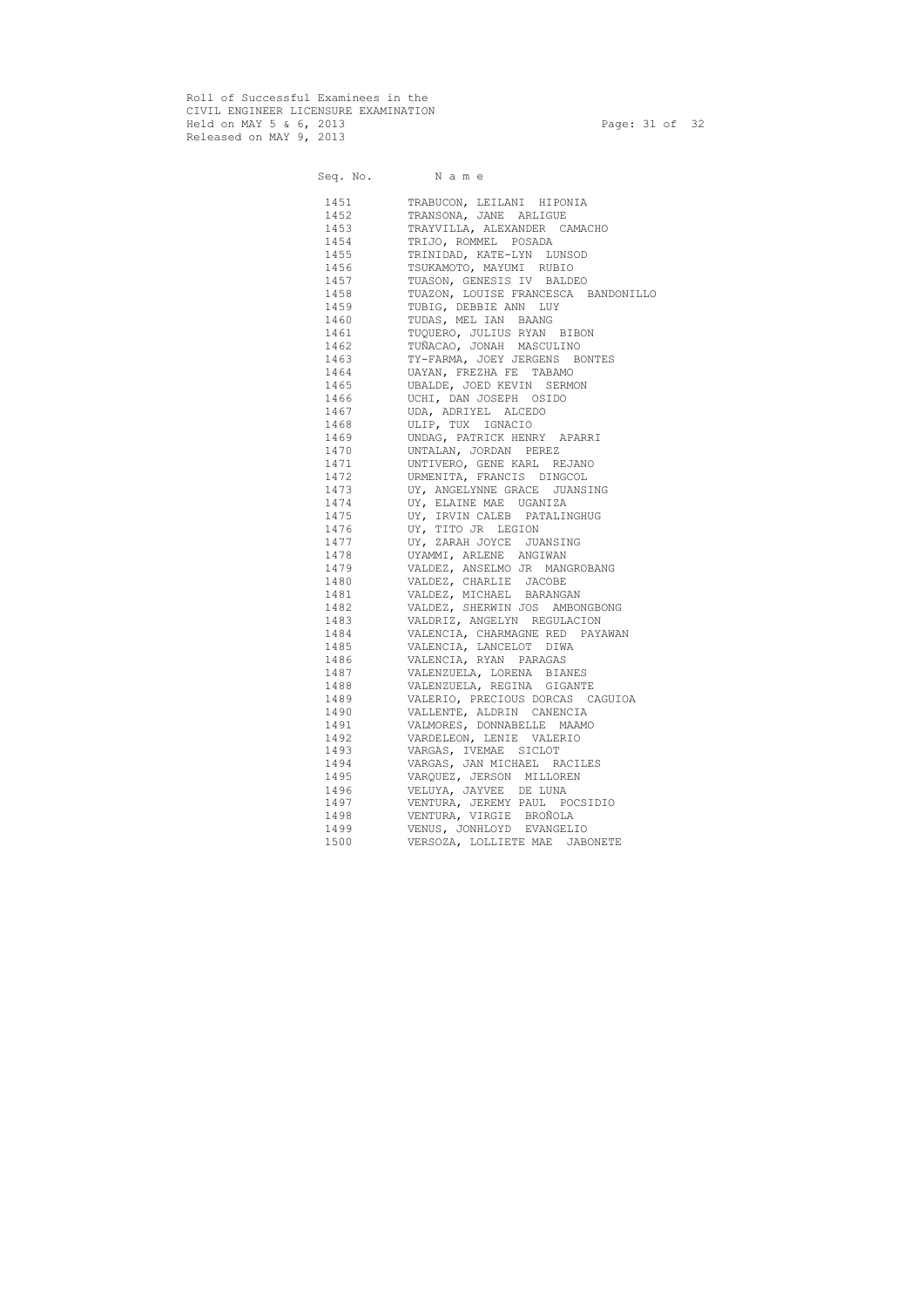Roll of Successful Examinees in the CIVIL ENGINEER LICENSURE EXAMINATION Held on MAY 5 & 6, 2013 Page: 31 of 32 Released on MAY 9, 2013

Seq. No. Name 1451 TRABUCON, LEILANI HIPONIA 1452 TRANSONA, JANE ARLIGUE 1453 TRAYVILLA, ALEXANDER CAMACHO 1454 TRIJO, ROMMEL POSADA 1455 TRINIDAD, KATE-LYN LUNSOD 1456 TSUKAMOTO, MAYUMI RUBIO 1457 TUASON, GENESIS IV BALDEO 1458 TUAZON, LOUISE FRANCESCA BANDONILLO 1459 TUBIG, DEBBIE ANN LUY 1460 TUDAS, MEL IAN BAANG 1461 TUQUERO, JULIUS RYAN BIBON 1462 TUÑACAO, JONAH MASCULINO 1463 TY-FARMA, JOEY JERGENS BONTES 1464 UAYAN, FREZHA FE TABAMO 1465 UBALDE, JOED KEVIN SERMON 1466 UCHI, DAN JOSEPH OSIDO 1467 UDA, ADRIYEL ALCEDO 1468 ULIP, TUX IGNACIO 1469 UNDAG, PATRICK HENRY APARRI 1470 UNTALAN, JORDAN PEREZ 1471 UNTIVERO, GENE KARL REJANO 1472 URMENITA, FRANCIS DINGCOL 1473 UY, ANGELYNNE GRACE JUANSING 1474 UY, ELAINE MAE UGANIZA 1475 UY, IRVIN CALEB PATALINGHUG 1476 UY, TITO JR LEGION 1477 UY, ZARAH JOYCE JUANSING 1478 UYAMMI, ARLENE ANGIWAN 1479 VALDEZ, ANSELMO JR MANGROBANG 1480 VALDEZ, CHARLIE JACOBE 1481 VALDEZ, MICHAEL BARANGAN 1482 VALDEZ, SHERWIN JOS AMBONGBONG 1483 VALDRIZ, ANGELYN REGULACION 1484 VALENCIA, CHARMAGNE RED PAYAWAN 1485 VALENCIA, LANCELOT DIWA 1486 VALENCIA, RYAN PARAGAS 1487 VALENZUELA, LORENA BIANES 1488 VALENZUELA, REGINA GIGANTE 1489 VALERIO, PRECIOUS DORCAS CAGUIOA 1490 VALLENTE, ALDRIN CANENCIA 1491 VALMORES, DONNABELLE MAAMO 1492 VARDELEON, LENIE VALERIO 1493 VARGAS, IVEMAE SICLOT 1494 VARGAS, JAN MICHAEL RACILES 1495 VARQUEZ, JERSON MILLOREN 1496 VELUYA, JAYVEE DE LUNA 1497 VENTURA, JEREMY PAUL POCSIDIO 1498 VENTURA, VIRGIE BROÑOLA 1499 VENUS, JONHLOYD EVANGELIO 1500 VERSOZA, LOLLIETE MAE JABONETE